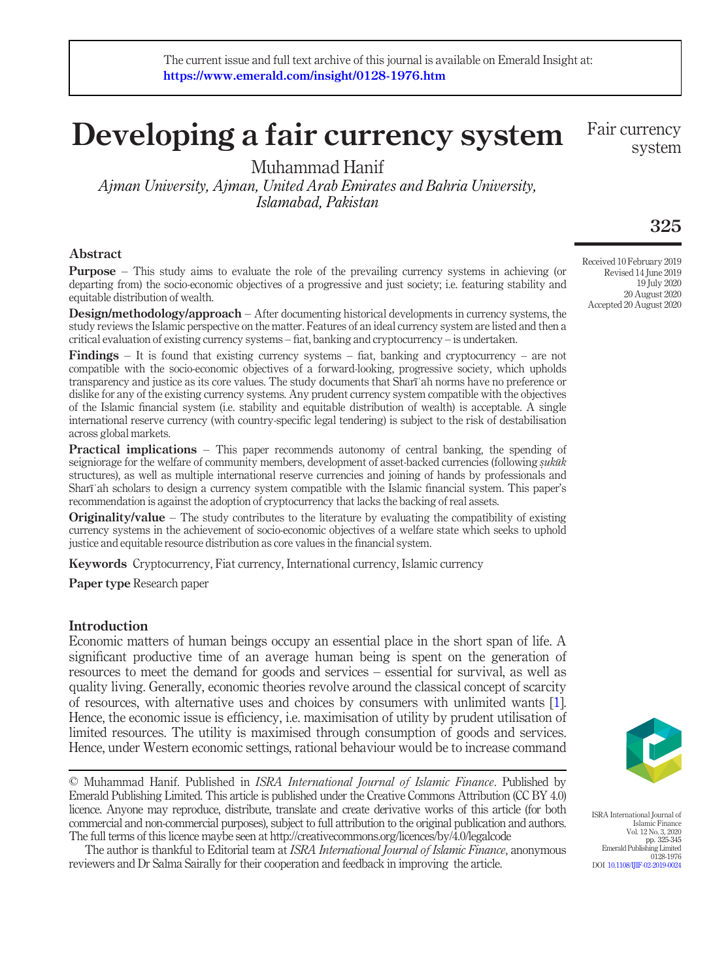# Developing a fair currency system

Muhammad Hanif

Ajman University, Ajman, United Arab Emirates and Bahria University, Islamabad, Pakistan

## Abstract

Purpose – This study aims to evaluate the role of the prevailing currency systems in achieving (or departing from) the socio-economic objectives of a progressive and just society; i.e. featuring stability and equitable distribution of wealth.

Design/methodology/approach – After documenting historical developments in currency systems, the study reviews the Islamic perspective on the matter. Features of an ideal currency system are listed and then a critical evaluation of existing currency systems – fiat, banking and cryptocurrency – is undertaken.

**Findings** – It is found that existing currency systems – fiat, banking and cryptocurrency – are not compatible with the socio-economic objectives of a forward-looking, progressive society, which upholds transparency and justice as its core values. The study documents that Sharīʿah norms have no preference or dislike for any of the existing currency systems. Any prudent currency system compatible with the objectives of the Islamic financial system (i.e. stability and equitable distribution of wealth) is acceptable. A single international reserve currency (with country-specific legal tendering) is subject to the risk of destabilisation across global markets.

Practical implications – This paper recommends autonomy of central banking, the spending of seigniorage for the welfare of community members, development of asset-backed currencies (following sukūk structures), as well as multiple international reserve currencies and joining of hands by professionals and Sharīʿah scholars to design a currency system compatible with the Islamic financial system. This paper's recommendation is against the adoption of cryptocurrency that lacks the backing of real assets.

**Originality/value** – The study contributes to the literature by evaluating the compatibility of existing currency systems in the achievement of socio-economic objectives of a welfare state which seeks to uphold justice and equitable resource distribution as core values in the financial system.

Keywords Cryptocurrency, Fiat currency, International currency, Islamic currency

Paper type Research paper

# **Introduction**

Economic matters of human beings occupy an essential place in the short span of life. A significant productive time of an average human being is spent on the generation of resources to meet the demand for goods and services – essential for survival, as well as quality living. Generally, economic theories revolve around the classical concept of scarcity of resources, with alternative uses and choices by consumers with unlimited wants [1]. Hence, the economic issue is efficiency, i.e. maximisation of utility by prudent utilisation of limited resources. The utility is maximised through consumption of goods and services. Hence, under Western economic settings, rational behaviour would be to increase command

© Muhammad Hanif. Published in ISRA International Journal of Islamic Finance. Published by Emerald Publishing Limited. This article is published under the Creative Commons Attribution (CC BY 4.0) licence. Anyone may reproduce, distribute, translate and create derivative works of this article (for both commercial and non-commercial purposes), subject to full attribution to the original publication and authors. The full terms of this licence maybe seen at http://creativecommons.org/licences/by/4.0/legalcode

The author is thankful to Editorial team at ISRA International Journal of Islamic Finance, anonymous reviewers and Dr Salma Sairally for their cooperation and feedback in improving the article.

Received 10 February 2019 Revised 14 June 2019 19 July 2020 20 August 2020 Accepted 20 August 2020



ISRA International Journal of Islamic Finance Vol. 12 No. 3, 2020 pp. 325-345 Emerald Publishing Limited 0128-1976 DOI 10.1108/IJIF-02-2019-0024

325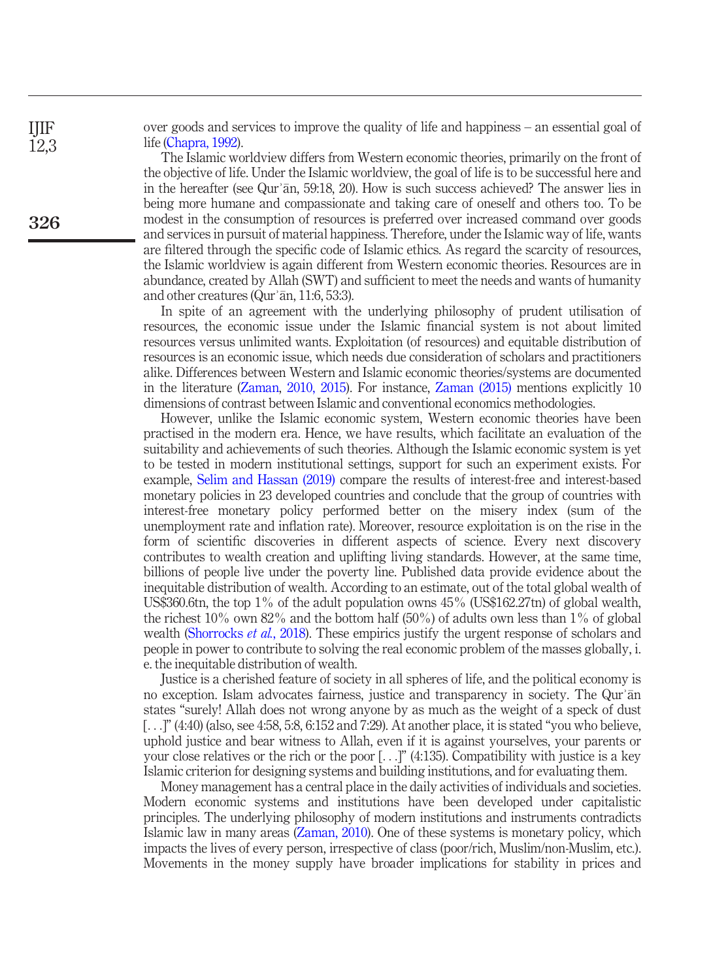over goods and services to improve the quality of life and happiness – an essential goal of life (Chapra, 1992).

The Islamic worldview differs from Western economic theories, primarily on the front of the objective of life. Under the Islamic worldview, the goal of life is to be successful here and in the hereafter (see Qurʾan, 59:18, 20). How is such success achieved? The answer lies in being more humane and compassionate and taking care of oneself and others too. To be modest in the consumption of resources is preferred over increased command over goods and services in pursuit of material happiness. Therefore, under the Islamic way of life, wants are filtered through the specific code of Islamic ethics. As regard the scarcity of resources, the Islamic worldview is again different from Western economic theories. Resources are in abundance, created by Allah (SWT) and sufficient to meet the needs and wants of humanity and other creatures (Qur'an, 11:6, 53:3).

In spite of an agreement with the underlying philosophy of prudent utilisation of resources, the economic issue under the Islamic financial system is not about limited resources versus unlimited wants. Exploitation (of resources) and equitable distribution of resources is an economic issue, which needs due consideration of scholars and practitioners alike. Differences between Western and Islamic economic theories/systems are documented in the literature (Zaman, 2010, 2015). For instance, Zaman (2015) mentions explicitly 10 dimensions of contrast between Islamic and conventional economics methodologies.

However, unlike the Islamic economic system, Western economic theories have been practised in the modern era. Hence, we have results, which facilitate an evaluation of the suitability and achievements of such theories. Although the Islamic economic system is yet to be tested in modern institutional settings, support for such an experiment exists. For example, Selim and Hassan (2019) compare the results of interest-free and interest-based monetary policies in 23 developed countries and conclude that the group of countries with interest-free monetary policy performed better on the misery index (sum of the unemployment rate and inflation rate). Moreover, resource exploitation is on the rise in the form of scientific discoveries in different aspects of science. Every next discovery contributes to wealth creation and uplifting living standards. However, at the same time, billions of people live under the poverty line. Published data provide evidence about the inequitable distribution of wealth. According to an estimate, out of the total global wealth of US\$360.6tn, the top 1% of the adult population owns 45% (US\$162.27tn) of global wealth, the richest 10% own 82% and the bottom half  $(50\%)$  of adults own less than 1% of global wealth (Shorrocks *et al.*, 2018). These empirics justify the urgent response of scholars and people in power to contribute to solving the real economic problem of the masses globally, i. e. the inequitable distribution of wealth.

Justice is a cherished feature of society in all spheres of life, and the political economy is no exception. Islam advocates fairness, justice and transparency in society. The Qurʾan states "surely! Allah does not wrong anyone by as much as the weight of a speck of dust [...]" (4:40) (also, see 4:58, 5:8, 6:152 and 7:29). At another place, it is stated "you who believe, uphold justice and bear witness to Allah, even if it is against yourselves, your parents or your close relatives or the rich or the poor  $[\ldots]$ " (4:135). Compatibility with justice is a key Islamic criterion for designing systems and building institutions, and for evaluating them.

Money management has a central place in the daily activities of individuals and societies. Modern economic systems and institutions have been developed under capitalistic principles. The underlying philosophy of modern institutions and instruments contradicts Islamic law in many areas (Zaman, 2010). One of these systems is monetary policy, which impacts the lives of every person, irrespective of class (poor/rich, Muslim/non-Muslim, etc.). Movements in the money supply have broader implications for stability in prices and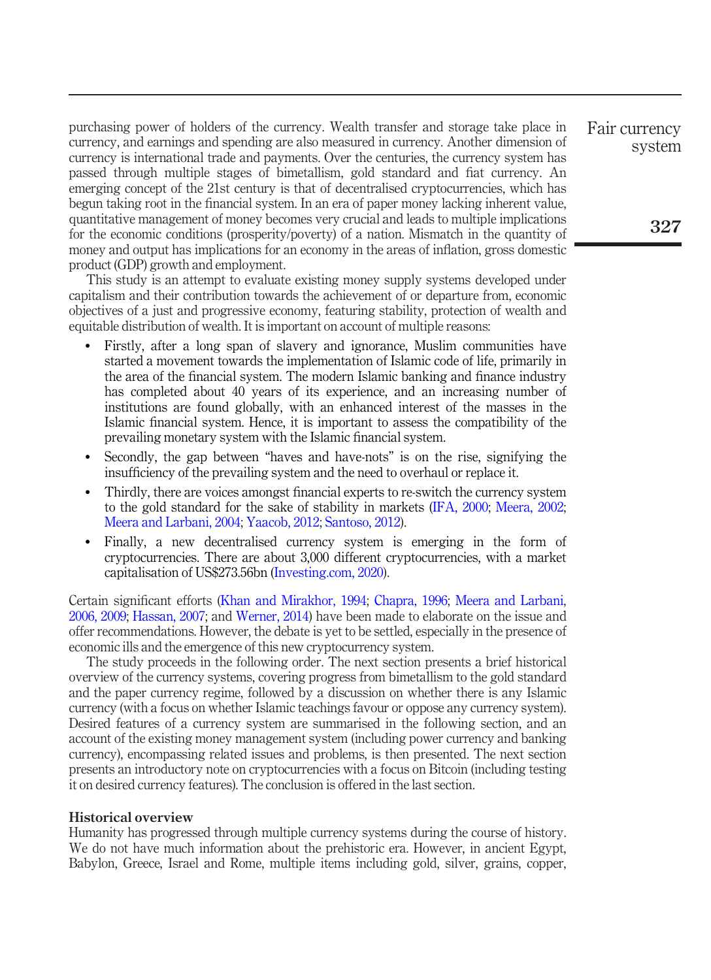purchasing power of holders of the currency. Wealth transfer and storage take place in currency, and earnings and spending are also measured in currency. Another dimension of currency is international trade and payments. Over the centuries, the currency system has passed through multiple stages of bimetallism, gold standard and fiat currency. An emerging concept of the 21st century is that of decentralised cryptocurrencies, which has begun taking root in the financial system. In an era of paper money lacking inherent value, quantitative management of money becomes very crucial and leads to multiple implications for the economic conditions (prosperity/poverty) of a nation. Mismatch in the quantity of money and output has implications for an economy in the areas of inflation, gross domestic product (GDP) growth and employment.

This study is an attempt to evaluate existing money supply systems developed under capitalism and their contribution towards the achievement of or departure from, economic objectives of a just and progressive economy, featuring stability, protection of wealth and equitable distribution of wealth. It is important on account of multiple reasons:

- Firstly, after a long span of slavery and ignorance, Muslim communities have started a movement towards the implementation of Islamic code of life, primarily in the area of the financial system. The modern Islamic banking and finance industry has completed about 40 years of its experience, and an increasing number of institutions are found globally, with an enhanced interest of the masses in the Islamic financial system. Hence, it is important to assess the compatibility of the prevailing monetary system with the Islamic financial system.
- Secondly, the gap between "haves and have-nots" is on the rise, signifying the insufficiency of the prevailing system and the need to overhaul or replace it.
- Thirdly, there are voices amongst financial experts to re-switch the currency system to the gold standard for the sake of stability in markets (IFA, 2000; Meera, 2002; Meera and Larbani, 2004; Yaacob, 2012; Santoso, 2012).
- Finally, a new decentralised currency system is emerging in the form of cryptocurrencies. There are about 3,000 different cryptocurrencies, with a market capitalisation of US\$273.56bn (Investing.com, 2020).

Certain significant efforts (Khan and Mirakhor, 1994; Chapra, 1996; Meera and Larbani, 2006, 2009; Hassan, 2007; and Werner, 2014) have been made to elaborate on the issue and offer recommendations. However, the debate is yet to be settled, especially in the presence of economic ills and the emergence of this new cryptocurrency system.

The study proceeds in the following order. The next section presents a brief historical overview of the currency systems, covering progress from bimetallism to the gold standard and the paper currency regime, followed by a discussion on whether there is any Islamic currency (with a focus on whether Islamic teachings favour or oppose any currency system). Desired features of a currency system are summarised in the following section, and an account of the existing money management system (including power currency and banking currency), encompassing related issues and problems, is then presented. The next section presents an introductory note on cryptocurrencies with a focus on Bitcoin (including testing it on desired currency features). The conclusion is offered in the last section.

## Historical overview

Humanity has progressed through multiple currency systems during the course of history. We do not have much information about the prehistoric era. However, in ancient Egypt, Babylon, Greece, Israel and Rome, multiple items including gold, silver, grains, copper,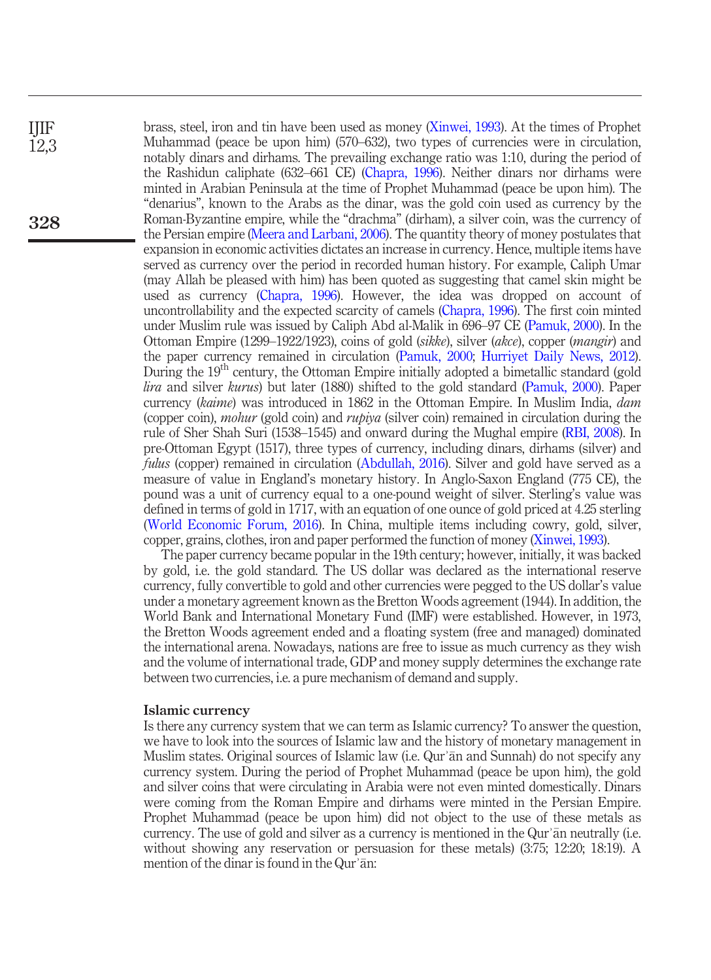IJIF 12,3

328

brass, steel, iron and tin have been used as money (Xinwei, 1993). At the times of Prophet Muhammad (peace be upon him) (570–632), two types of currencies were in circulation, notably dinars and dirhams. The prevailing exchange ratio was 1:10, during the period of the Rashidun caliphate (632–661 CE) (Chapra, 1996). Neither dinars nor dirhams were minted in Arabian Peninsula at the time of Prophet Muhammad (peace be upon him). The "denarius", known to the Arabs as the dinar, was the gold coin used as currency by the Roman-Byzantine empire, while the "drachma" (dirham), a silver coin, was the currency of the Persian empire (Meera and Larbani, 2006). The quantity theory of money postulates that expansion in economic activities dictates an increase in currency. Hence, multiple items have served as currency over the period in recorded human history. For example, Caliph Umar (may Allah be pleased with him) has been quoted as suggesting that camel skin might be used as currency (Chapra, 1996). However, the idea was dropped on account of uncontrollability and the expected scarcity of camels (Chapra, 1996). The first coin minted under Muslim rule was issued by Caliph Abd al-Malik in 696–97 CE (Pamuk, 2000). In the Ottoman Empire (1299–1922/1923), coins of gold (sikke), silver (akce), copper (mangir) and the paper currency remained in circulation (Pamuk, 2000; Hurriyet Daily News, 2012). During the 19<sup>th</sup> century, the Ottoman Empire initially adopted a bimetallic standard (gold lira and silver kurus) but later (1880) shifted to the gold standard (Pamuk, 2000). Paper currency (kaime) was introduced in 1862 in the Ottoman Empire. In Muslim India, dam (copper coin), *mohur* (gold coin) and *rupiya* (silver coin) remained in circulation during the rule of Sher Shah Suri (1538–1545) and onward during the Mughal empire (RBI, 2008). In pre-Ottoman Egypt (1517), three types of currency, including dinars, dirhams (silver) and fulus (copper) remained in circulation (Abdullah, 2016). Silver and gold have served as a measure of value in England's monetary history. In Anglo-Saxon England (775 CE), the pound was a unit of currency equal to a one-pound weight of silver. Sterling's value was defined in terms of gold in 1717, with an equation of one ounce of gold priced at 4.25 sterling (World Economic Forum, 2016). In China, multiple items including cowry, gold, silver, copper, grains, clothes, iron and paper performed the function of money (Xinwei, 1993).

The paper currency became popular in the 19th century; however, initially, it was backed by gold, i.e. the gold standard. The US dollar was declared as the international reserve currency, fully convertible to gold and other currencies were pegged to the US dollar's value under a monetary agreement known as the Bretton Woods agreement (1944). In addition, the World Bank and International Monetary Fund (IMF) were established. However, in 1973, the Bretton Woods agreement ended and a floating system (free and managed) dominated the international arena. Nowadays, nations are free to issue as much currency as they wish and the volume of international trade, GDP and money supply determines the exchange rate between two currencies, i.e. a pure mechanism of demand and supply.

## Islamic currency

Is there any currency system that we can term as Islamic currency? To answer the question, we have to look into the sources of Islamic law and the history of monetary management in Muslim states. Original sources of Islamic law (i.e. Qurʾan and Sunnah) do not specify any currency system. During the period of Prophet Muhammad (peace be upon him), the gold and silver coins that were circulating in Arabia were not even minted domestically. Dinars were coming from the Roman Empire and dirhams were minted in the Persian Empire. Prophet Muhammad (peace be upon him) did not object to the use of these metals as currency. The use of gold and silver as a currency is mentioned in the Qurʾan neutrally (i.e. without showing any reservation or persuasion for these metals) (3:75; 12:20; 18:19). A mention of the dinar is found in the Qur'an: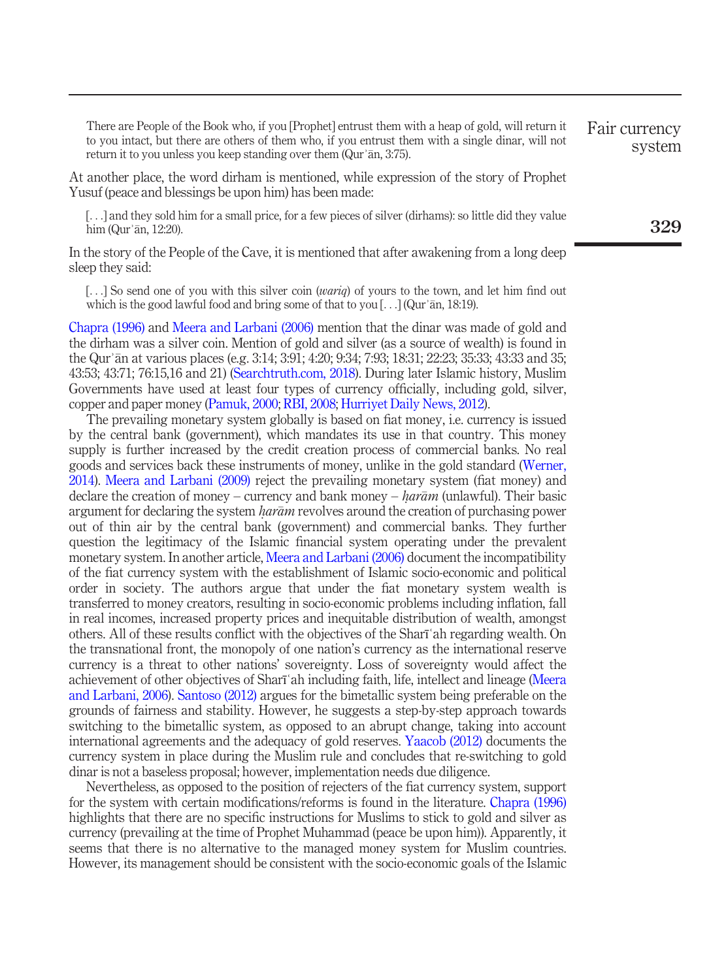There are People of the Book who, if you [Prophet] entrust them with a heap of gold, will return it to you intact, but there are others of them who, if you entrust them with a single dinar, will not return it to you unless you keep standing over them (Qur'an, 3:75).

At another place, the word dirham is mentioned, while expression of the story of Prophet Yusuf (peace and blessings be upon him) has been made:

[...] and they sold him for a small price, for a few pieces of silver (dirhams): so little did they value him (Qur'ān, 12:20).

In the story of the People of the Cave, it is mentioned that after awakening from a long deep sleep they said:

 $\lbrack...]\rbrack$  So send one of you with this silver coin (waria) of yours to the town, and let him find out which is the good lawful food and bring some of that to you  $[\ldots]$  (Qur'an, 18:19).

Chapra (1996) and Meera and Larbani (2006) mention that the dinar was made of gold and the dirham was a silver coin. Mention of gold and silver (as a source of wealth) is found in the Qurʾan at various places (e.g. 3:14; 3:91; 4:20; 9:34; 7:93; 18:31; 22:23; 35:33; 43:33 and 35; 43:53; 43:71; 76:15,16 and 21) (Searchtruth.com, 2018). During later Islamic history, Muslim Governments have used at least four types of currency officially, including gold, silver, copper and paper money (Pamuk, 2000; RBI, 2008; Hurriyet Daily News, 2012).

The prevailing monetary system globally is based on fiat money, i.e. currency is issued by the central bank (government), which mandates its use in that country. This money supply is further increased by the credit creation process of commercial banks. No real goods and services back these instruments of money, unlike in the gold standard (Werner, 2014). Meera and Larbani (2009) reject the prevailing monetary system (fiat money) and declare the creation of money – currency and bank money – haram (unlawful). Their basic argument for declaring the system haram revolves around the creation of purchasing power out of thin air by the central bank (government) and commercial banks. They further question the legitimacy of the Islamic financial system operating under the prevalent monetary system. In another article, Meera and Larbani (2006) document the incompatibility of the fiat currency system with the establishment of Islamic socio-economic and political order in society. The authors argue that under the fiat monetary system wealth is transferred to money creators, resulting in socio-economic problems including inflation, fall in real incomes, increased property prices and inequitable distribution of wealth, amongst others. All of these results conflict with the objectives of the Sharīʿah regarding wealth. On the transnational front, the monopoly of one nation's currency as the international reserve currency is a threat to other nations' sovereignty. Loss of sovereignty would affect the achievement of other objectives of Sharīʿah including faith, life, intellect and lineage (Meera and Larbani, 2006). Santoso (2012) argues for the bimetallic system being preferable on the grounds of fairness and stability. However, he suggests a step-by-step approach towards switching to the bimetallic system, as opposed to an abrupt change, taking into account international agreements and the adequacy of gold reserves. Yaacob (2012) documents the currency system in place during the Muslim rule and concludes that re-switching to gold dinar is not a baseless proposal; however, implementation needs due diligence.

Nevertheless, as opposed to the position of rejecters of the fiat currency system, support for the system with certain modifications/reforms is found in the literature. Chapra (1996) highlights that there are no specific instructions for Muslims to stick to gold and silver as currency (prevailing at the time of Prophet Muhammad (peace be upon him)). Apparently, it seems that there is no alternative to the managed money system for Muslim countries. However, its management should be consistent with the socio-economic goals of the Islamic 329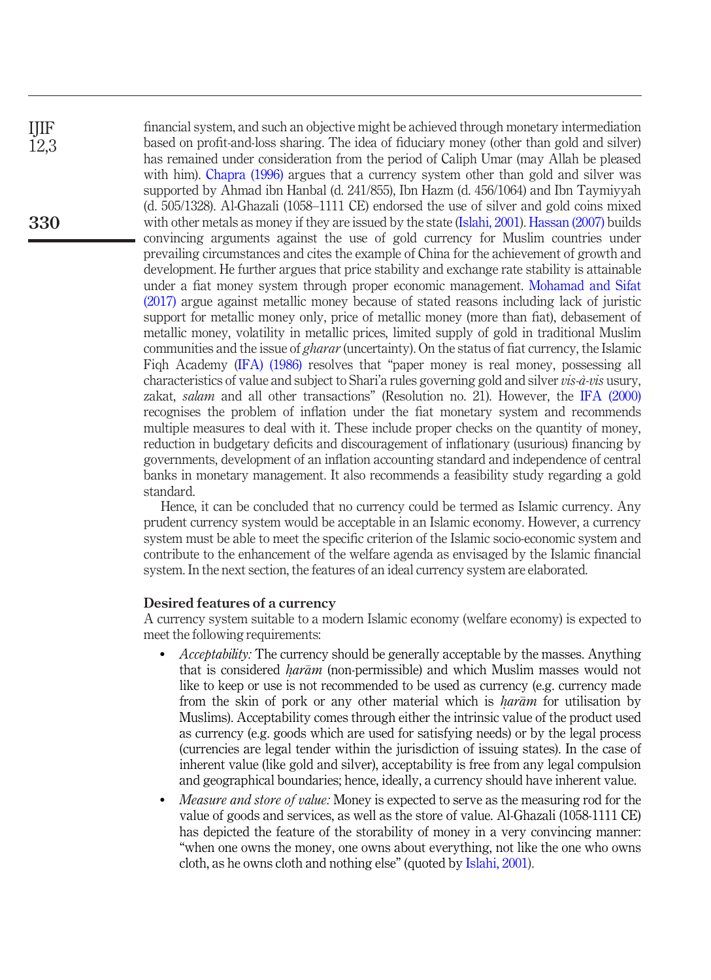IJIF 12,3

330

financial system, and such an objective might be achieved through monetary intermediation based on profit-and-loss sharing. The idea of fiduciary money (other than gold and silver) has remained under consideration from the period of Caliph Umar (may Allah be pleased with him). Chapra (1996) argues that a currency system other than gold and silver was supported by Ahmad ibn Hanbal (d. 241/855), Ibn Hazm (d. 456/1064) and Ibn Taymiyyah (d. 505/1328). Al-Ghazali (1058–1111 CE) endorsed the use of silver and gold coins mixed with other metals as money if they are issued by the state (Islahi, 2001). Hassan (2007) builds convincing arguments against the use of gold currency for Muslim countries under prevailing circumstances and cites the example of China for the achievement of growth and development. He further argues that price stability and exchange rate stability is attainable under a fiat money system through proper economic management. Mohamad and Sifat (2017) argue against metallic money because of stated reasons including lack of juristic support for metallic money only, price of metallic money (more than fiat), debasement of metallic money, volatility in metallic prices, limited supply of gold in traditional Muslim communities and the issue of *gharar* (uncertainty). On the status of fiat currency, the Islamic Figh Academy (IFA) (1986) resolves that "paper money is real money, possessing all characteristics of value and subject to Shari'a rules governing gold and silver vis-à-vis usury, zakat, salam and all other transactions" (Resolution no. 21). However, the IFA (2000) recognises the problem of inflation under the fiat monetary system and recommends multiple measures to deal with it. These include proper checks on the quantity of money, reduction in budgetary deficits and discouragement of inflationary (usurious) financing by governments, development of an inflation accounting standard and independence of central banks in monetary management. It also recommends a feasibility study regarding a gold standard.

Hence, it can be concluded that no currency could be termed as Islamic currency. Any prudent currency system would be acceptable in an Islamic economy. However, a currency system must be able to meet the specific criterion of the Islamic socio-economic system and contribute to the enhancement of the welfare agenda as envisaged by the Islamic financial system. In the next section, the features of an ideal currency system are elaborated.

## Desired features of a currency

A currency system suitable to a modern Islamic economy (welfare economy) is expected to meet the following requirements:

- Acceptability: The currency should be generally acceptable by the masses. Anything that is considered haram (non-permissible) and which Muslim masses would not like to keep or use is not recommended to be used as currency (e.g. currency made from the skin of pork or any other material which is haram for utilisation by Muslims). Acceptability comes through either the intrinsic value of the product used as currency (e.g. goods which are used for satisfying needs) or by the legal process (currencies are legal tender within the jurisdiction of issuing states). In the case of inherent value (like gold and silver), acceptability is free from any legal compulsion and geographical boundaries; hence, ideally, a currency should have inherent value.
- Measure and store of value: Money is expected to serve as the measuring rod for the value of goods and services, as well as the store of value. Al-Ghazali (1058-1111 CE) has depicted the feature of the storability of money in a very convincing manner: "when one owns the money, one owns about everything, not like the one who owns cloth, as he owns cloth and nothing else" (quoted by Islahi, 2001).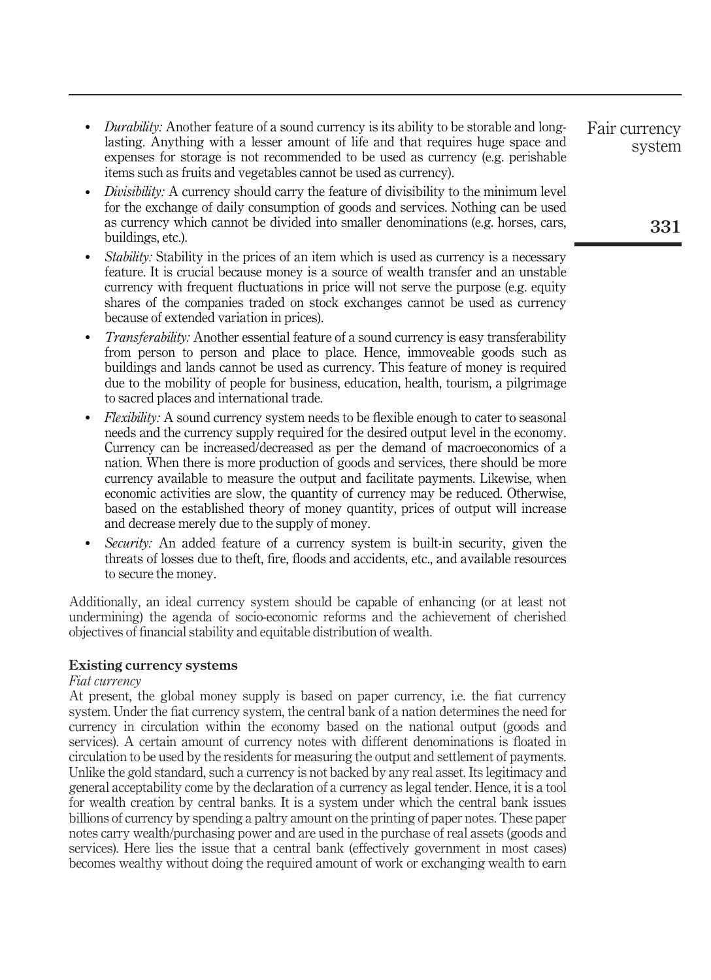- Durability: Another feature of a sound currency is its ability to be storable and longlasting. Anything with a lesser amount of life and that requires huge space and expenses for storage is not recommended to be used as currency (e.g. perishable items such as fruits and vegetables cannot be used as currency).
- Divisibility: A currency should carry the feature of divisibility to the minimum level for the exchange of daily consumption of goods and services. Nothing can be used as currency which cannot be divided into smaller denominations (e.g. horses, cars, buildings, etc.).
- Stability: Stability in the prices of an item which is used as currency is a necessary feature. It is crucial because money is a source of wealth transfer and an unstable currency with frequent fluctuations in price will not serve the purpose (e.g. equity shares of the companies traded on stock exchanges cannot be used as currency because of extended variation in prices).
- Transferability: Another essential feature of a sound currency is easy transferability from person to person and place to place. Hence, immoveable goods such as buildings and lands cannot be used as currency. This feature of money is required due to the mobility of people for business, education, health, tourism, a pilgrimage to sacred places and international trade.
- Flexibility: A sound currency system needs to be flexible enough to cater to seasonal needs and the currency supply required for the desired output level in the economy. Currency can be increased/decreased as per the demand of macroeconomics of a nation. When there is more production of goods and services, there should be more currency available to measure the output and facilitate payments. Likewise, when economic activities are slow, the quantity of currency may be reduced. Otherwise, based on the established theory of money quantity, prices of output will increase and decrease merely due to the supply of money.
- Security: An added feature of a currency system is built-in security, given the threats of losses due to theft, fire, floods and accidents, etc., and available resources to secure the money.

Additionally, an ideal currency system should be capable of enhancing (or at least not undermining) the agenda of socio-economic reforms and the achievement of cherished objectives of financial stability and equitable distribution of wealth.

# Existing currency systems

# Fiat currency

At present, the global money supply is based on paper currency, i.e. the fiat currency system. Under the fiat currency system, the central bank of a nation determines the need for currency in circulation within the economy based on the national output (goods and services). A certain amount of currency notes with different denominations is floated in circulation to be used by the residents for measuring the output and settlement of payments. Unlike the gold standard, such a currency is not backed by any real asset. Its legitimacy and general acceptability come by the declaration of a currency as legal tender. Hence, it is a tool for wealth creation by central banks. It is a system under which the central bank issues billions of currency by spending a paltry amount on the printing of paper notes. These paper notes carry wealth/purchasing power and are used in the purchase of real assets (goods and services). Here lies the issue that a central bank (effectively government in most cases) becomes wealthy without doing the required amount of work or exchanging wealth to earn 331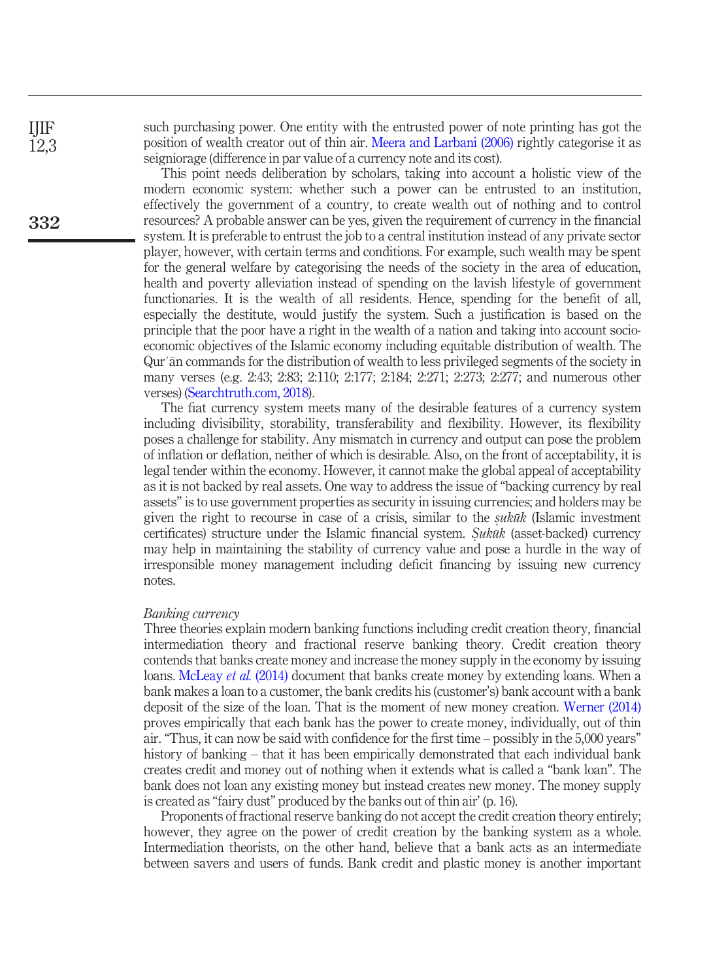such purchasing power. One entity with the entrusted power of note printing has got the position of wealth creator out of thin air. Meera and Larbani (2006) rightly categorise it as seigniorage (difference in par value of a currency note and its cost).

This point needs deliberation by scholars, taking into account a holistic view of the modern economic system: whether such a power can be entrusted to an institution, effectively the government of a country, to create wealth out of nothing and to control resources? A probable answer can be yes, given the requirement of currency in the financial system. It is preferable to entrust the job to a central institution instead of any private sector player, however, with certain terms and conditions. For example, such wealth may be spent for the general welfare by categorising the needs of the society in the area of education, health and poverty alleviation instead of spending on the lavish lifestyle of government functionaries. It is the wealth of all residents. Hence, spending for the benefit of all, especially the destitute, would justify the system. Such a justification is based on the principle that the poor have a right in the wealth of a nation and taking into account socioeconomic objectives of the Islamic economy including equitable distribution of wealth. The Qurʾan commands for the distribution of wealth to less privileged segments of the society in many verses (e.g. 2:43; 2:83; 2:110; 2:177; 2:184; 2:271; 2:273; 2:277; and numerous other verses) (Searchtruth.com, 2018).

The fiat currency system meets many of the desirable features of a currency system including divisibility, storability, transferability and flexibility. However, its flexibility poses a challenge for stability. Any mismatch in currency and output can pose the problem of inflation or deflation, neither of which is desirable. Also, on the front of acceptability, it is legal tender within the economy. However, it cannot make the global appeal of acceptability as it is not backed by real assets. One way to address the issue of "backing currency by real assets" is to use government properties as security in issuing currencies; and holders may be given the right to recourse in case of a crisis, similar to the sukūk (Islamic investment certificates) structure under the Islamic financial system. Sukūk (asset-backed) currency may help in maintaining the stability of currency value and pose a hurdle in the way of irresponsible money management including deficit financing by issuing new currency notes.

#### Banking currency

Three theories explain modern banking functions including credit creation theory, financial intermediation theory and fractional reserve banking theory. Credit creation theory contends that banks create money and increase the money supply in the economy by issuing loans. McLeay *et al.* (2014) document that banks create money by extending loans. When a bank makes a loan to a customer, the bank credits his (customer's) bank account with a bank deposit of the size of the loan. That is the moment of new money creation. Werner (2014) proves empirically that each bank has the power to create money, individually, out of thin air. "Thus, it can now be said with confidence for the first time – possibly in the 5,000 years" history of banking – that it has been empirically demonstrated that each individual bank creates credit and money out of nothing when it extends what is called a "bank loan". The bank does not loan any existing money but instead creates new money. The money supply is created as "fairy dust" produced by the banks out of thin air' (p. 16).

Proponents of fractional reserve banking do not accept the credit creation theory entirely; however, they agree on the power of credit creation by the banking system as a whole. Intermediation theorists, on the other hand, believe that a bank acts as an intermediate between savers and users of funds. Bank credit and plastic money is another important

332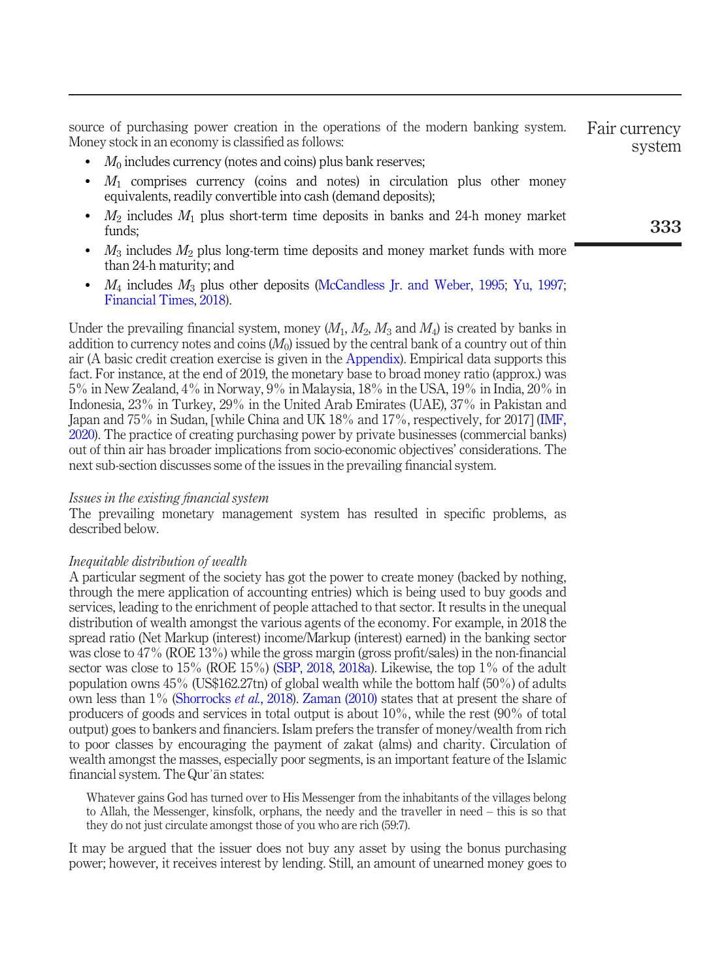source of purchasing power creation in the operations of the modern banking system. Money stock in an economy is classified as follows: Fair currency system

- $\bullet$   $M_0$  includes currency (notes and coins) plus bank reserves;
- $M_1$  comprises currency (coins and notes) in circulation plus other money equivalents, readily convertible into cash (demand deposits);
- $\bullet$   $M_2$  includes  $M_1$  plus short-term time deposits in banks and 24-h money market funds;
- $\bullet$   $M_3$  includes  $M_2$  plus long-term time deposits and money market funds with more than 24-h maturity; and
- $M_4$  includes  $M_3$  plus other deposits (McCandless Jr. and Weber, 1995; Yu, 1997; Financial Times, 2018).

Under the prevailing financial system, money  $(M_1, M_2, M_3)$  and  $M_4$ ) is created by banks in addition to currency notes and coins  $(M_0)$  issued by the central bank of a country out of thin air (A basic credit creation exercise is given in the Appendix). Empirical data supports this fact. For instance, at the end of 2019, the monetary base to broad money ratio (approx.) was 5% in New Zealand, 4% in Norway, 9% in Malaysia, 18% in the USA, 19% in India, 20% in Indonesia, 23% in Turkey, 29% in the United Arab Emirates (UAE), 37% in Pakistan and Japan and 75% in Sudan, [while China and UK 18% and 17%, respectively, for 2017] (IMF, 2020). The practice of creating purchasing power by private businesses (commercial banks) out of thin air has broader implications from socio-economic objectives' considerations. The next sub-section discusses some of the issues in the prevailing financial system.

#### Issues in the existing financial system

The prevailing monetary management system has resulted in specific problems, as described below.

#### Inequitable distribution of wealth

A particular segment of the society has got the power to create money (backed by nothing, through the mere application of accounting entries) which is being used to buy goods and services, leading to the enrichment of people attached to that sector. It results in the unequal distribution of wealth amongst the various agents of the economy. For example, in 2018 the spread ratio (Net Markup (interest) income/Markup (interest) earned) in the banking sector was close to 47% (ROE 13%) while the gross margin (gross profit/sales) in the non-financial sector was close to  $15\%$  (ROE  $15\%$ ) (SBP, 2018, 2018a). Likewise, the top  $1\%$  of the adult population owns 45% (US\$162.27tn) of global wealth while the bottom half (50%) of adults own less than 1% (Shorrocks et al., 2018). Zaman (2010) states that at present the share of producers of goods and services in total output is about 10%, while the rest (90% of total output) goes to bankers and financiers. Islam prefers the transfer of money/wealth from rich to poor classes by encouraging the payment of zakat (alms) and charity. Circulation of wealth amongst the masses, especially poor segments, is an important feature of the Islamic financial system. The Qur'an states:

Whatever gains God has turned over to His Messenger from the inhabitants of the villages belong to Allah, the Messenger, kinsfolk, orphans, the needy and the traveller in need – this is so that they do not just circulate amongst those of you who are rich (59:7).

It may be argued that the issuer does not buy any asset by using the bonus purchasing power; however, it receives interest by lending. Still, an amount of unearned money goes to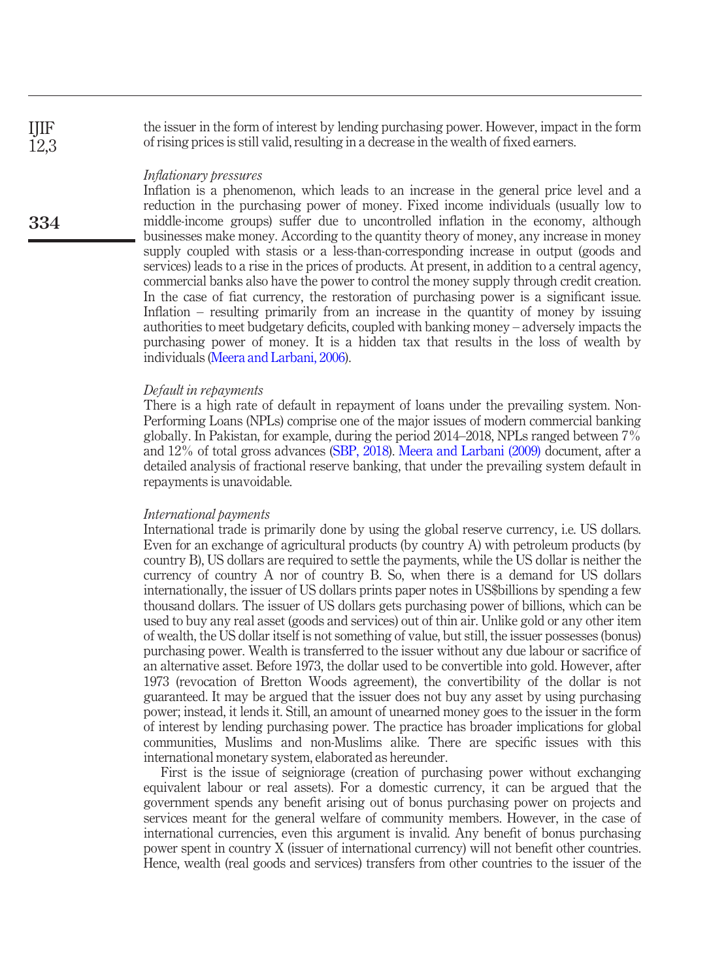the issuer in the form of interest by lending purchasing power. However, impact in the form of rising prices is still valid, resulting in a decrease in the wealth of fixed earners.

#### Inflationary pressures

Inflation is a phenomenon, which leads to an increase in the general price level and a reduction in the purchasing power of money. Fixed income individuals (usually low to middle-income groups) suffer due to uncontrolled inflation in the economy, although businesses make money. According to the quantity theory of money, any increase in money supply coupled with stasis or a less-than-corresponding increase in output (goods and services) leads to a rise in the prices of products. At present, in addition to a central agency, commercial banks also have the power to control the money supply through credit creation. In the case of fiat currency, the restoration of purchasing power is a significant issue. Inflation – resulting primarily from an increase in the quantity of money by issuing authorities to meet budgetary deficits, coupled with banking money – adversely impacts the purchasing power of money. It is a hidden tax that results in the loss of wealth by individuals (Meera and Larbani, 2006).

#### Default in repayments

There is a high rate of default in repayment of loans under the prevailing system. Non-Performing Loans (NPLs) comprise one of the major issues of modern commercial banking globally. In Pakistan, for example, during the period 2014–2018, NPLs ranged between 7% and 12% of total gross advances (SBP, 2018). Meera and Larbani (2009) document, after a detailed analysis of fractional reserve banking, that under the prevailing system default in repayments is unavoidable.

#### International payments

International trade is primarily done by using the global reserve currency, i.e. US dollars. Even for an exchange of agricultural products (by country A) with petroleum products (by country B), US dollars are required to settle the payments, while the US dollar is neither the currency of country A nor of country B. So, when there is a demand for US dollars internationally, the issuer of US dollars prints paper notes in US\$billions by spending a few thousand dollars. The issuer of US dollars gets purchasing power of billions, which can be used to buy any real asset (goods and services) out of thin air. Unlike gold or any other item of wealth, the US dollar itself is not something of value, but still, the issuer possesses (bonus) purchasing power. Wealth is transferred to the issuer without any due labour or sacrifice of an alternative asset. Before 1973, the dollar used to be convertible into gold. However, after 1973 (revocation of Bretton Woods agreement), the convertibility of the dollar is not guaranteed. It may be argued that the issuer does not buy any asset by using purchasing power; instead, it lends it. Still, an amount of unearned money goes to the issuer in the form of interest by lending purchasing power. The practice has broader implications for global communities, Muslims and non-Muslims alike. There are specific issues with this international monetary system, elaborated as hereunder.

First is the issue of seigniorage (creation of purchasing power without exchanging equivalent labour or real assets). For a domestic currency, it can be argued that the government spends any benefit arising out of bonus purchasing power on projects and services meant for the general welfare of community members. However, in the case of international currencies, even this argument is invalid. Any benefit of bonus purchasing power spent in country X (issuer of international currency) will not benefit other countries. Hence, wealth (real goods and services) transfers from other countries to the issuer of the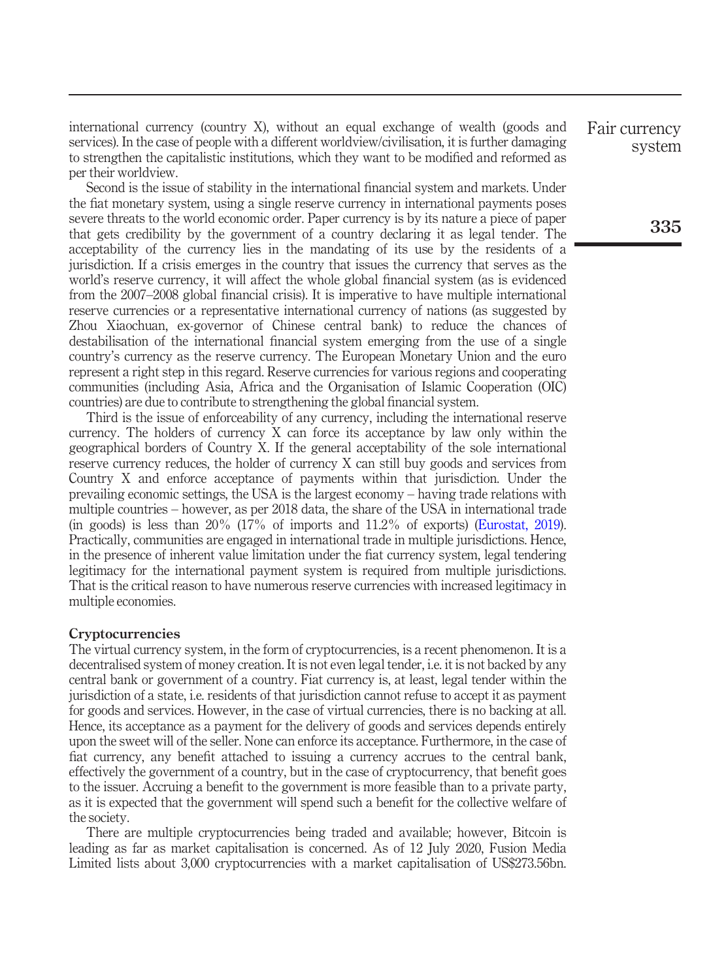international currency (country X), without an equal exchange of wealth (goods and services). In the case of people with a different worldview/civilisation, it is further damaging to strengthen the capitalistic institutions, which they want to be modified and reformed as per their worldview.

Second is the issue of stability in the international financial system and markets. Under the fiat monetary system, using a single reserve currency in international payments poses severe threats to the world economic order. Paper currency is by its nature a piece of paper that gets credibility by the government of a country declaring it as legal tender. The acceptability of the currency lies in the mandating of its use by the residents of a jurisdiction. If a crisis emerges in the country that issues the currency that serves as the world's reserve currency, it will affect the whole global financial system (as is evidenced from the 2007–2008 global financial crisis). It is imperative to have multiple international reserve currencies or a representative international currency of nations (as suggested by Zhou Xiaochuan, ex-governor of Chinese central bank) to reduce the chances of destabilisation of the international financial system emerging from the use of a single country's currency as the reserve currency. The European Monetary Union and the euro represent a right step in this regard. Reserve currencies for various regions and cooperating communities (including Asia, Africa and the Organisation of Islamic Cooperation (OIC) countries) are due to contribute to strengthening the global financial system.

Third is the issue of enforceability of any currency, including the international reserve currency. The holders of currency X can force its acceptance by law only within the geographical borders of Country X. If the general acceptability of the sole international reserve currency reduces, the holder of currency X can still buy goods and services from Country X and enforce acceptance of payments within that jurisdiction. Under the prevailing economic settings, the USA is the largest economy – having trade relations with multiple countries – however, as per 2018 data, the share of the USA in international trade (in goods) is less than  $20\%$  (17% of imports and  $11.2\%$  of exports) (Eurostat, 2019). Practically, communities are engaged in international trade in multiple jurisdictions. Hence, in the presence of inherent value limitation under the fiat currency system, legal tendering legitimacy for the international payment system is required from multiple jurisdictions. That is the critical reason to have numerous reserve currencies with increased legitimacy in multiple economies.

#### Cryptocurrencies

The virtual currency system, in the form of cryptocurrencies, is a recent phenomenon. It is a decentralised system of money creation. It is not even legal tender, i.e. it is not backed by any central bank or government of a country. Fiat currency is, at least, legal tender within the jurisdiction of a state, i.e. residents of that jurisdiction cannot refuse to accept it as payment for goods and services. However, in the case of virtual currencies, there is no backing at all. Hence, its acceptance as a payment for the delivery of goods and services depends entirely upon the sweet will of the seller. None can enforce its acceptance. Furthermore, in the case of fiat currency, any benefit attached to issuing a currency accrues to the central bank, effectively the government of a country, but in the case of cryptocurrency, that benefit goes to the issuer. Accruing a benefit to the government is more feasible than to a private party, as it is expected that the government will spend such a benefit for the collective welfare of the society.

There are multiple cryptocurrencies being traded and available; however, Bitcoin is leading as far as market capitalisation is concerned. As of 12 July 2020, Fusion Media Limited lists about 3,000 cryptocurrencies with a market capitalisation of US\$273.56bn. Fair currency system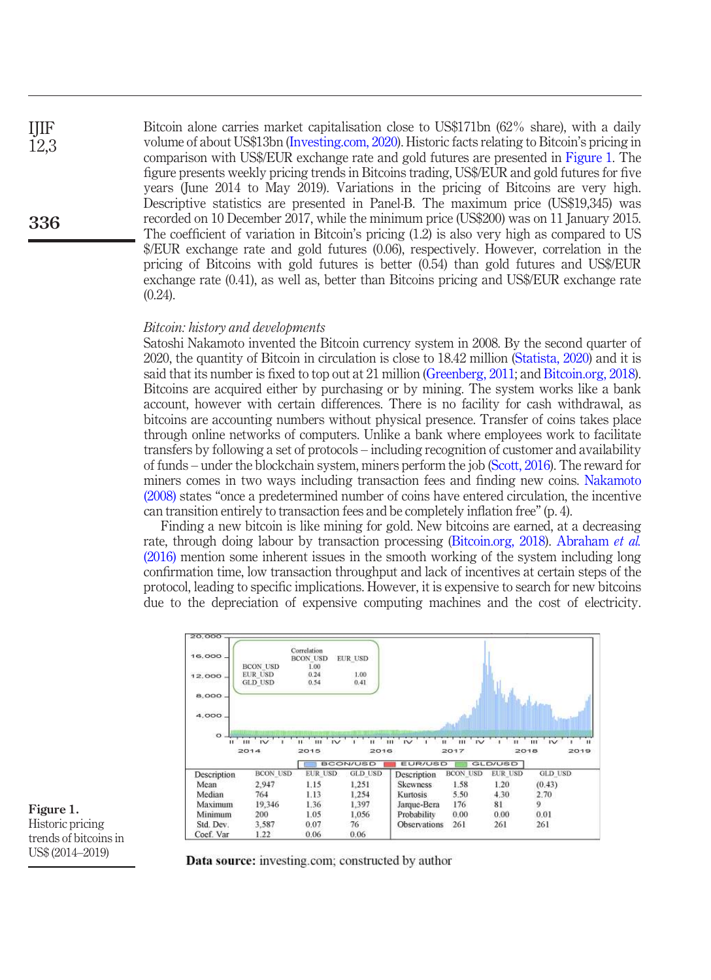Bitcoin alone carries market capitalisation close to US\$171bn (62% share), with a daily volume of about US\$13bn (Investing.com, 2020). Historic facts relating to Bitcoin's pricing in comparison with US\$/EUR exchange rate and gold futures are presented in Figure 1. The figure presents weekly pricing trends in Bitcoins trading, US\$/EUR and gold futures for five years (June 2014 to May 2019). Variations in the pricing of Bitcoins are very high. Descriptive statistics are presented in Panel-B. The maximum price (US\$19,345) was recorded on 10 December 2017, while the minimum price (US\$200) was on 11 January 2015. The coefficient of variation in Bitcoin's pricing (1.2) is also very high as compared to US \$/EUR exchange rate and gold futures (0.06), respectively. However, correlation in the pricing of Bitcoins with gold futures is better (0.54) than gold futures and US\$/EUR exchange rate (0.41), as well as, better than Bitcoins pricing and US\$/EUR exchange rate (0.24).

# Bitcoin: history and developments

Satoshi Nakamoto invented the Bitcoin currency system in 2008. By the second quarter of 2020, the quantity of Bitcoin in circulation is close to 18.42 million (Statista, 2020) and it is said that its number is fixed to top out at 21 million (Greenberg, 2011; and Bitcoin.org, 2018). Bitcoins are acquired either by purchasing or by mining. The system works like a bank account, however with certain differences. There is no facility for cash withdrawal, as bitcoins are accounting numbers without physical presence. Transfer of coins takes place through online networks of computers. Unlike a bank where employees work to facilitate transfers by following a set of protocols – including recognition of customer and availability of funds – under the blockchain system, miners perform the job (Scott, 2016). The reward for miners comes in two ways including transaction fees and finding new coins. Nakamoto (2008) states "once a predetermined number of coins have entered circulation, the incentive can transition entirely to transaction fees and be completely inflation free" (p. 4).

Finding a new bitcoin is like mining for gold. New bitcoins are earned, at a decreasing rate, through doing labour by transaction processing (Bitcoin.org, 2018). Abraham et al. (2016) mention some inherent issues in the smooth working of the system including long confirmation time, low transaction throughput and lack of incentives at certain steps of the protocol, leading to specific implications. However, it is expensive to search for new bitcoins due to the depreciation of expensive computing machines and the cost of electricity.



Figure 1. Historic pricing trends of bitcoins in US\$ (2014–2019)

**Data source:** investing.com; constructed by author

IJIF 12,3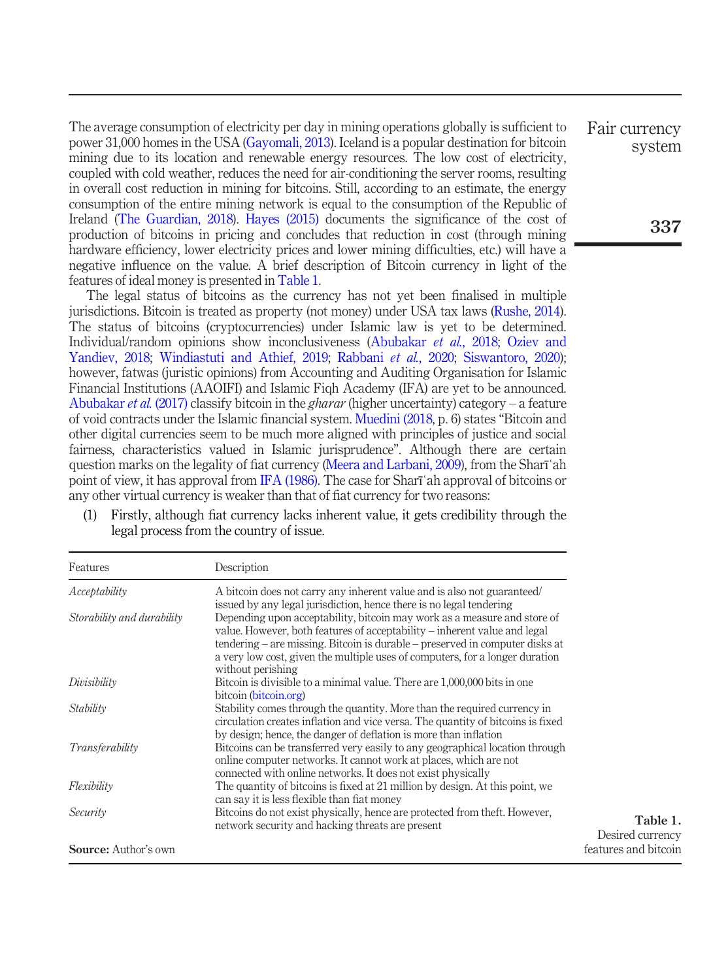The average consumption of electricity per day in mining operations globally is sufficient to power 31,000 homes in the USA (Gayomali, 2013). Iceland is a popular destination for bitcoin mining due to its location and renewable energy resources. The low cost of electricity, coupled with cold weather, reduces the need for air-conditioning the server rooms, resulting in overall cost reduction in mining for bitcoins. Still, according to an estimate, the energy consumption of the entire mining network is equal to the consumption of the Republic of Ireland (The Guardian, 2018). Hayes (2015) documents the significance of the cost of production of bitcoins in pricing and concludes that reduction in cost (through mining hardware efficiency, lower electricity prices and lower mining difficulties, etc.) will have a negative influence on the value. A brief description of Bitcoin currency in light of the features of ideal money is presented in Table 1.

The legal status of bitcoins as the currency has not yet been finalised in multiple jurisdictions. Bitcoin is treated as property (not money) under USA tax laws (Rushe, 2014). The status of bitcoins (cryptocurrencies) under Islamic law is yet to be determined. Individual/random opinions show inconclusiveness (Abubakar et al., 2018; Oziev and Yandiev, 2018; Windiastuti and Athief, 2019; Rabbani et al., 2020; Siswantoro, 2020); however, fatwas (juristic opinions) from Accounting and Auditing Organisation for Islamic Financial Institutions (AAOIFI) and Islamic Fiqh Academy (IFA) are yet to be announced. Abubakar *et al.* (2017) classify bitcoin in the *gharar* (higher uncertainty) category – a feature of void contracts under the Islamic financial system. Muedini (2018, p. 6) states "Bitcoin and other digital currencies seem to be much more aligned with principles of justice and social fairness, characteristics valued in Islamic jurisprudence". Although there are certain question marks on the legality of fiat currency (Meera and Larbani, 2009), from the Sharīʿah point of view, it has approval from IFA (1986). The case for Sharī'ah approval of bitcoins or any other virtual currency is weaker than that of fiat currency for two reasons:

| Features                    | Description                                                                                                                                                                                                                                                                                                                                   |                              |
|-----------------------------|-----------------------------------------------------------------------------------------------------------------------------------------------------------------------------------------------------------------------------------------------------------------------------------------------------------------------------------------------|------------------------------|
| Acceptability               | A bitcoin does not carry any inherent value and is also not guaranteed/<br>issued by any legal jurisdiction, hence there is no legal tendering                                                                                                                                                                                                |                              |
| Storability and durability  | Depending upon acceptability, bitcoin may work as a measure and store of<br>value. However, both features of acceptability – inherent value and legal<br>$t$ endering – are missing. Bitcoin is durable – preserved in computer disks at<br>a very low cost, given the multiple uses of computers, for a longer duration<br>without perishing |                              |
| Divisibility                | Bitcoin is divisible to a minimal value. There are 1,000,000 bits in one<br>bitcoin (bitcoin.org)                                                                                                                                                                                                                                             |                              |
| Stability                   | Stability comes through the quantity. More than the required currency in<br>circulation creates inflation and vice versa. The quantity of bitcoins is fixed<br>by design; hence, the danger of deflation is more than inflation                                                                                                               |                              |
| Transferability             | Bitcoins can be transferred very easily to any geographical location through<br>online computer networks. It cannot work at places, which are not<br>connected with online networks. It does not exist physically                                                                                                                             |                              |
| Flexibility                 | The quantity of bitcoins is fixed at 21 million by design. At this point, we<br>can say it is less flexible than fiat money                                                                                                                                                                                                                   |                              |
| <i>Security</i>             | Bitcoins do not exist physically, hence are protected from theft. However,<br>network security and hacking threats are present                                                                                                                                                                                                                | Table 1.<br>Desired currency |
| <b>Source:</b> Author's own |                                                                                                                                                                                                                                                                                                                                               | features and bitcoin         |

(1) Firstly, although fiat currency lacks inherent value, it gets credibility through the legal process from the country of issue.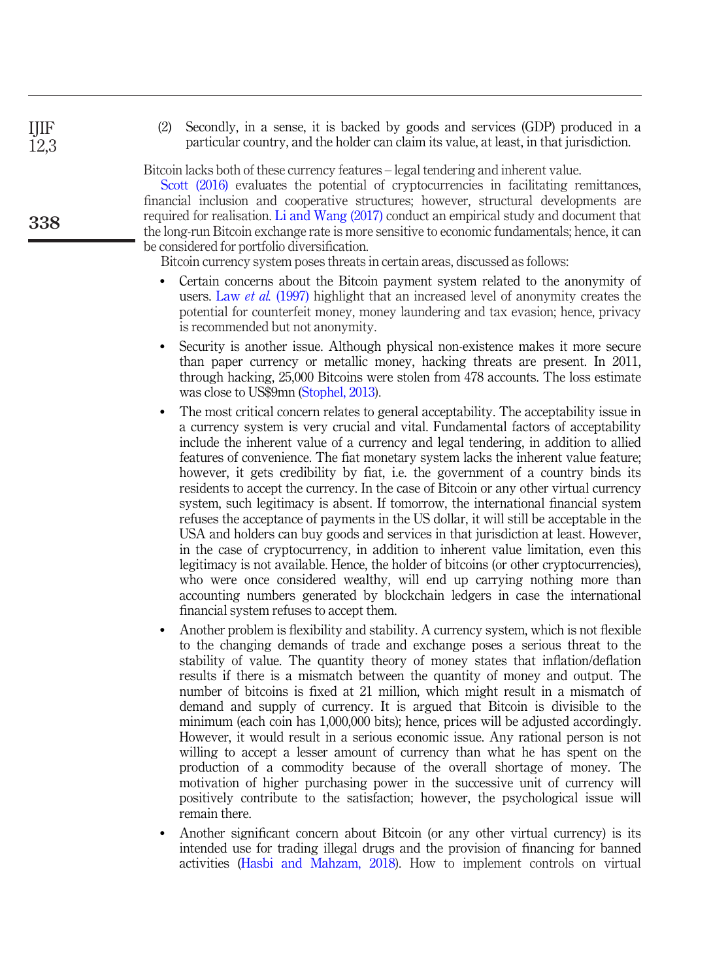(2) Secondly, in a sense, it is backed by goods and services (GDP) produced in a particular country, and the holder can claim its value, at least, in that jurisdiction.

Bitcoin lacks both of these currency features – legal tendering and inherent value.

Scott (2016) evaluates the potential of cryptocurrencies in facilitating remittances, financial inclusion and cooperative structures; however, structural developments are required for realisation. Li and Wang (2017) conduct an empirical study and document that the long-run Bitcoin exchange rate is more sensitive to economic fundamentals; hence, it can be considered for portfolio diversification.

Bitcoin currency system poses threats in certain areas, discussed as follows:

- Certain concerns about the Bitcoin payment system related to the anonymity of users. Law et al. (1997) highlight that an increased level of anonymity creates the potential for counterfeit money, money laundering and tax evasion; hence, privacy is recommended but not anonymity.
- Security is another issue. Although physical non-existence makes it more secure than paper currency or metallic money, hacking threats are present. In 2011, through hacking, 25,000 Bitcoins were stolen from 478 accounts. The loss estimate was close to US\$9mn (Stophel, 2013).
- The most critical concern relates to general acceptability. The acceptability issue in a currency system is very crucial and vital. Fundamental factors of acceptability include the inherent value of a currency and legal tendering, in addition to allied features of convenience. The fiat monetary system lacks the inherent value feature; however, it gets credibility by fiat, i.e. the government of a country binds its residents to accept the currency. In the case of Bitcoin or any other virtual currency system, such legitimacy is absent. If tomorrow, the international financial system refuses the acceptance of payments in the US dollar, it will still be acceptable in the USA and holders can buy goods and services in that jurisdiction at least. However, in the case of cryptocurrency, in addition to inherent value limitation, even this legitimacy is not available. Hence, the holder of bitcoins (or other cryptocurrencies), who were once considered wealthy, will end up carrying nothing more than accounting numbers generated by blockchain ledgers in case the international financial system refuses to accept them.
- Another problem is flexibility and stability. A currency system, which is not flexible to the changing demands of trade and exchange poses a serious threat to the stability of value. The quantity theory of money states that inflation/deflation results if there is a mismatch between the quantity of money and output. The number of bitcoins is fixed at 21 million, which might result in a mismatch of demand and supply of currency. It is argued that Bitcoin is divisible to the minimum (each coin has 1,000,000 bits); hence, prices will be adjusted accordingly. However, it would result in a serious economic issue. Any rational person is not willing to accept a lesser amount of currency than what he has spent on the production of a commodity because of the overall shortage of money. The motivation of higher purchasing power in the successive unit of currency will positively contribute to the satisfaction; however, the psychological issue will remain there.
- Another significant concern about Bitcoin (or any other virtual currency) is its intended use for trading illegal drugs and the provision of financing for banned activities (Hasbi and Mahzam, 2018). How to implement controls on virtual

338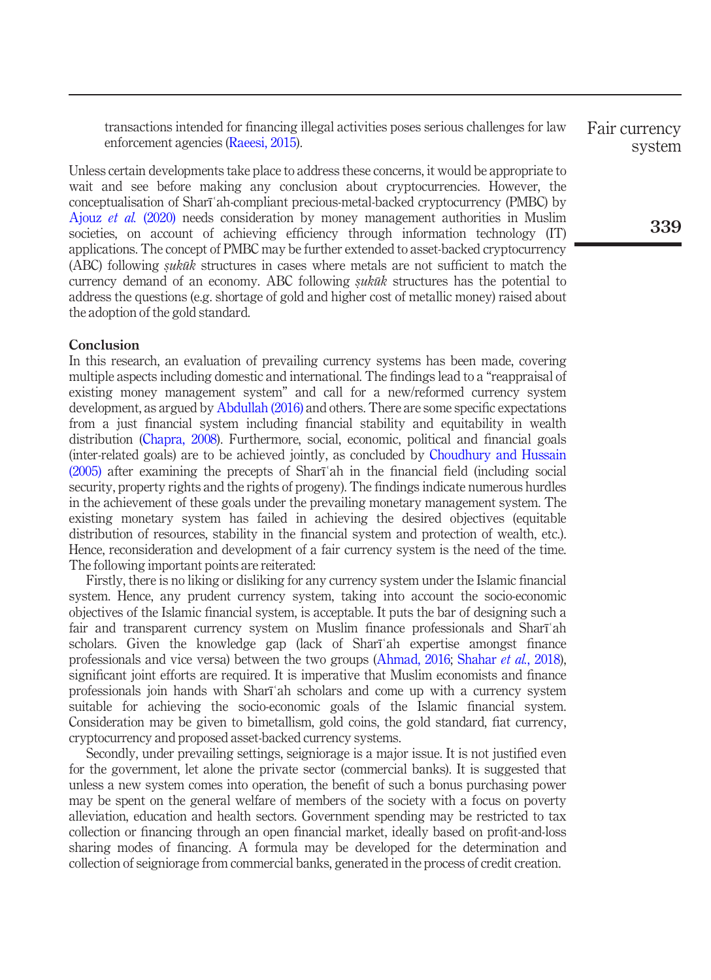transactions intended for financing illegal activities poses serious challenges for law enforcement agencies (Raeesi, 2015).

Unless certain developments take place to address these concerns, it would be appropriate to wait and see before making any conclusion about cryptocurrencies. However, the conceptualisation of Sharīʿah-compliant precious-metal-backed cryptocurrency (PMBC) by Ajouz et al. (2020) needs consideration by money management authorities in Muslim societies, on account of achieving efficiency through information technology (IT) applications. The concept of PMBC may be further extended to asset-backed cryptocurrency (ABC) following sukūk structures in cases where metals are not sufficient to match the currency demand of an economy. ABC following sukūk structures has the potential to address the questions (e.g. shortage of gold and higher cost of metallic money) raised about the adoption of the gold standard.

# **Conclusion**

In this research, an evaluation of prevailing currency systems has been made, covering multiple aspects including domestic and international. The findings lead to a "reappraisal of existing money management system" and call for a new/reformed currency system development, as argued by Abdullah (2016) and others. There are some specific expectations from a just financial system including financial stability and equitability in wealth distribution (Chapra, 2008). Furthermore, social, economic, political and financial goals (inter-related goals) are to be achieved jointly, as concluded by Choudhury and Hussain (2005) after examining the precepts of Sharīʿah in the financial field (including social security, property rights and the rights of progeny). The findings indicate numerous hurdles in the achievement of these goals under the prevailing monetary management system. The existing monetary system has failed in achieving the desired objectives (equitable distribution of resources, stability in the financial system and protection of wealth, etc.). Hence, reconsideration and development of a fair currency system is the need of the time. The following important points are reiterated:

Firstly, there is no liking or disliking for any currency system under the Islamic financial system. Hence, any prudent currency system, taking into account the socio-economic objectives of the Islamic financial system, is acceptable. It puts the bar of designing such a fair and transparent currency system on Muslim finance professionals and Sharīʿah scholars. Given the knowledge gap (lack of Sharīʿah expertise amongst finance professionals and vice versa) between the two groups (Ahmad, 2016; Shahar et al., 2018), significant joint efforts are required. It is imperative that Muslim economists and finance professionals join hands with Sharīʿah scholars and come up with a currency system suitable for achieving the socio-economic goals of the Islamic financial system. Consideration may be given to bimetallism, gold coins, the gold standard, fiat currency, cryptocurrency and proposed asset-backed currency systems.

Secondly, under prevailing settings, seigniorage is a major issue. It is not justified even for the government, let alone the private sector (commercial banks). It is suggested that unless a new system comes into operation, the benefit of such a bonus purchasing power may be spent on the general welfare of members of the society with a focus on poverty alleviation, education and health sectors. Government spending may be restricted to tax collection or financing through an open financial market, ideally based on profit-and-loss sharing modes of financing. A formula may be developed for the determination and collection of seigniorage from commercial banks, generated in the process of credit creation.

Fair currency system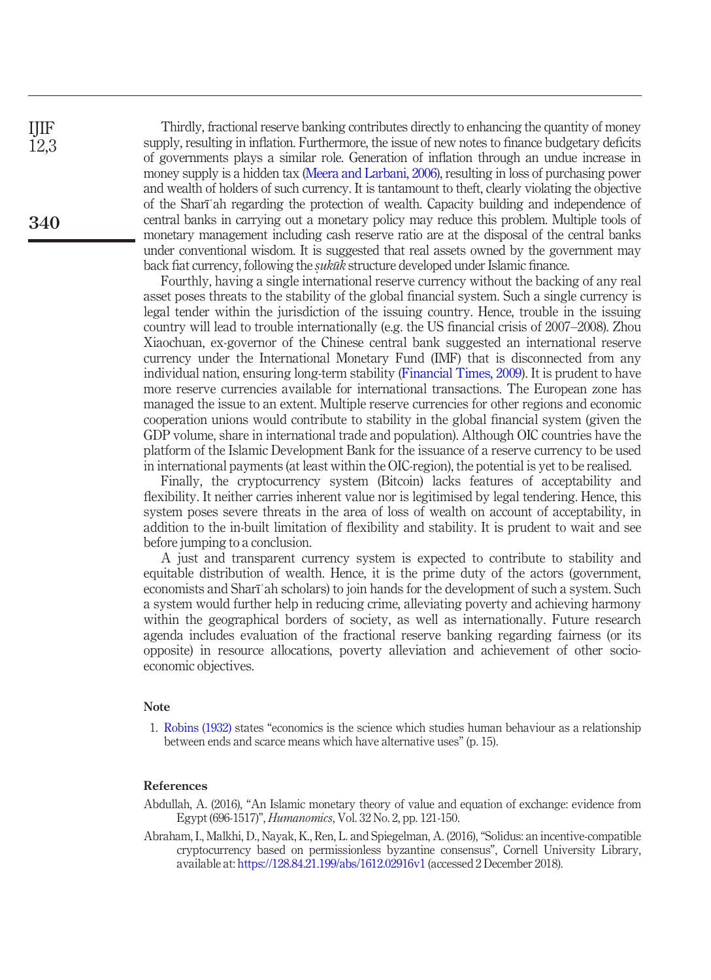Thirdly, fractional reserve banking contributes directly to enhancing the quantity of money supply, resulting in inflation. Furthermore, the issue of new notes to finance budgetary deficits of governments plays a similar role. Generation of inflation through an undue increase in money supply is a hidden tax (Meera and Larbani, 2006), resulting in loss of purchasing power and wealth of holders of such currency. It is tantamount to theft, clearly violating the objective of the Sharīʿah regarding the protection of wealth. Capacity building and independence of central banks in carrying out a monetary policy may reduce this problem. Multiple tools of monetary management including cash reserve ratio are at the disposal of the central banks under conventional wisdom. It is suggested that real assets owned by the government may back fiat currency, following the sukūk structure developed under Islamic finance.

Fourthly, having a single international reserve currency without the backing of any real asset poses threats to the stability of the global financial system. Such a single currency is legal tender within the jurisdiction of the issuing country. Hence, trouble in the issuing country will lead to trouble internationally (e.g. the US financial crisis of 2007–2008). Zhou Xiaochuan, ex-governor of the Chinese central bank suggested an international reserve currency under the International Monetary Fund (IMF) that is disconnected from any individual nation, ensuring long-term stability (Financial Times, 2009). It is prudent to have more reserve currencies available for international transactions. The European zone has managed the issue to an extent. Multiple reserve currencies for other regions and economic cooperation unions would contribute to stability in the global financial system (given the GDP volume, share in international trade and population). Although OIC countries have the platform of the Islamic Development Bank for the issuance of a reserve currency to be used in international payments (at least within the OIC-region), the potential is yet to be realised.

Finally, the cryptocurrency system (Bitcoin) lacks features of acceptability and flexibility. It neither carries inherent value nor is legitimised by legal tendering. Hence, this system poses severe threats in the area of loss of wealth on account of acceptability, in addition to the in-built limitation of flexibility and stability. It is prudent to wait and see before jumping to a conclusion.

A just and transparent currency system is expected to contribute to stability and equitable distribution of wealth. Hence, it is the prime duty of the actors (government, economists and Sharīʿah scholars) to join hands for the development of such a system. Such a system would further help in reducing crime, alleviating poverty and achieving harmony within the geographical borders of society, as well as internationally. Future research agenda includes evaluation of the fractional reserve banking regarding fairness (or its opposite) in resource allocations, poverty alleviation and achievement of other socioeconomic objectives.

#### Note

1. Robins (1932) states "economics is the science which studies human behaviour as a relationship between ends and scarce means which have alternative uses" (p. 15).

#### References

- Abdullah, A. (2016), "An Islamic monetary theory of value and equation of exchange: evidence from Egypt (696-1517)", Humanomics, Vol. 32 No. 2, pp. 121-150.
- Abraham, I., Malkhi, D., Nayak, K., Ren, L. and Spiegelman, A. (2016), "Solidus: an incentive-compatible cryptocurrency based on permissionless byzantine consensus", Cornell University Library, available at: https://128.84.21.199/abs/1612.02916v1 (accessed 2 December 2018).

IJIF 12,3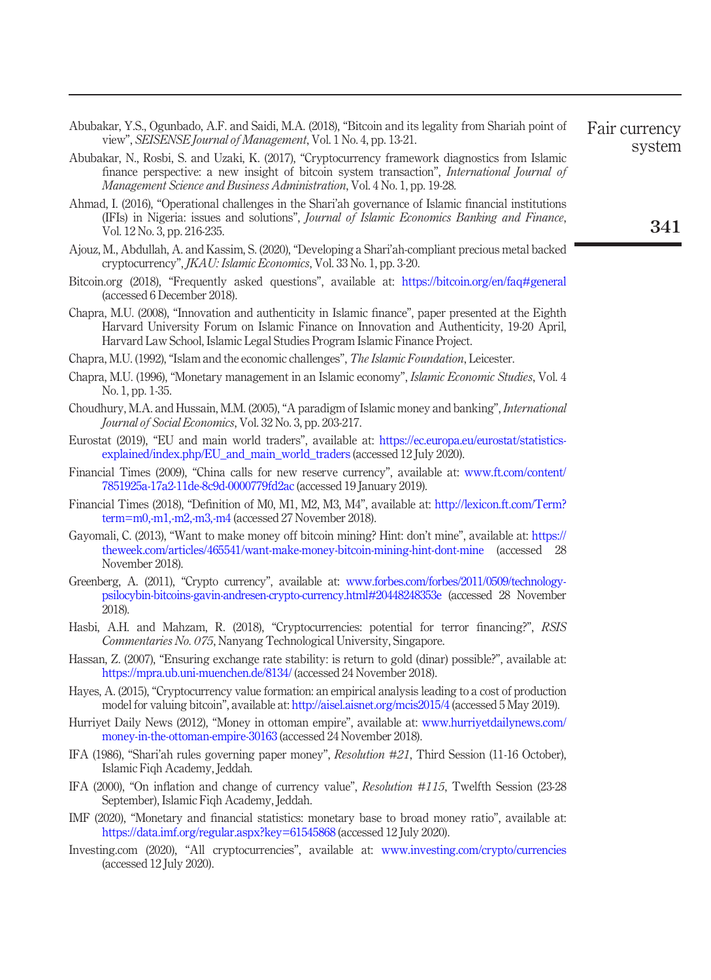| (accessed 6 December 2018).<br>Harvard University Forum on Islamic Finance on Innovation and Authenticity, 19-20 April,<br>Harvard Law School, Islamic Legal Studies Program Islamic Finance Project.<br>No. 1, pp. 1-35.<br>Journal of Social Economics, Vol. 32 No. 3, pp. 203-217.<br>explained/index.php/EU_and_main_world_traders (accessed 12 July 2020).<br>7851925a-17a2-11de-8c9d-0000779fd2ac (accessed 19 January 2019).<br>term=m0,-m1,-m2,-m3,-m4 (accessed $27$ November 2018).<br>Gayomali, C. (2013), "Want to make money off bitcoin mining? Hint: don't mine", available at: https://<br>theweek.com/articles/465541/want-make-money-bitcoin-mining-hint-dont-mine (accessed 28)<br>November 2018).<br>psilocybin-bitcoins-gavin-andresen-crypto-currency.html#20448248353e (accessed 28 November<br>2018).<br>Commentaries No. 075, Nanyang Technological University, Singapore.<br>https://mpra.ub.uni-muenchen.de/8134/ (accessed 24 November 2018).<br>model for valuing bitcoin", available at: http://aisel.aisnet.org/mcis2015/4 (accessed 5 May 2019).<br>money-in-the-ottoman-empire-30163 (accessed 24 November 2018).<br>Islamic Fiqh Academy, Jeddah.<br>September), Islamic Fiqh Academy, Jeddah.<br>https://data.imf.org/regular.aspx?key=61545868 (accessed 12 July 2020).<br>Investing.com (2020), "All cryptocurrencies", available at: www.investing.com/crypto/currencies<br>(accessed $12$ July $2020$ ). | cryptocurrency", <i>JKAU: Islamic Economics</i> , Vol. 33 No. 1, pp. 3-20.                                 |  |
|-------------------------------------------------------------------------------------------------------------------------------------------------------------------------------------------------------------------------------------------------------------------------------------------------------------------------------------------------------------------------------------------------------------------------------------------------------------------------------------------------------------------------------------------------------------------------------------------------------------------------------------------------------------------------------------------------------------------------------------------------------------------------------------------------------------------------------------------------------------------------------------------------------------------------------------------------------------------------------------------------------------------------------------------------------------------------------------------------------------------------------------------------------------------------------------------------------------------------------------------------------------------------------------------------------------------------------------------------------------------------------------------------------------------------------------------------|------------------------------------------------------------------------------------------------------------|--|
|                                                                                                                                                                                                                                                                                                                                                                                                                                                                                                                                                                                                                                                                                                                                                                                                                                                                                                                                                                                                                                                                                                                                                                                                                                                                                                                                                                                                                                                 | Bitcoin.org (2018), "Frequently asked questions", available at: https://bitcoin.org/en/faq#general         |  |
|                                                                                                                                                                                                                                                                                                                                                                                                                                                                                                                                                                                                                                                                                                                                                                                                                                                                                                                                                                                                                                                                                                                                                                                                                                                                                                                                                                                                                                                 | Chapra, M.U. (2008), "Innovation and authenticity in Islamic finance", paper presented at the Eighth       |  |
|                                                                                                                                                                                                                                                                                                                                                                                                                                                                                                                                                                                                                                                                                                                                                                                                                                                                                                                                                                                                                                                                                                                                                                                                                                                                                                                                                                                                                                                 | Chapra, M.U. (1992), "Islam and the economic challenges", The Islamic Foundation, Leicester.               |  |
|                                                                                                                                                                                                                                                                                                                                                                                                                                                                                                                                                                                                                                                                                                                                                                                                                                                                                                                                                                                                                                                                                                                                                                                                                                                                                                                                                                                                                                                 | Chapra, M.U. (1996), "Monetary management in an Islamic economy", <i>Islamic Economic Studies</i> , Vol. 4 |  |
|                                                                                                                                                                                                                                                                                                                                                                                                                                                                                                                                                                                                                                                                                                                                                                                                                                                                                                                                                                                                                                                                                                                                                                                                                                                                                                                                                                                                                                                 | Choudhury, M.A. and Hussain, M.M. (2005), "A paradigm of Islamic money and banking", International         |  |
|                                                                                                                                                                                                                                                                                                                                                                                                                                                                                                                                                                                                                                                                                                                                                                                                                                                                                                                                                                                                                                                                                                                                                                                                                                                                                                                                                                                                                                                 | Eurostat (2019), "EU and main world traders", available at: https://ec.europa.eu/eurostat/statistics-      |  |
|                                                                                                                                                                                                                                                                                                                                                                                                                                                                                                                                                                                                                                                                                                                                                                                                                                                                                                                                                                                                                                                                                                                                                                                                                                                                                                                                                                                                                                                 | Financial Times (2009), "China calls for new reserve currency", available at: www.ft.com/content/          |  |
|                                                                                                                                                                                                                                                                                                                                                                                                                                                                                                                                                                                                                                                                                                                                                                                                                                                                                                                                                                                                                                                                                                                                                                                                                                                                                                                                                                                                                                                 | Financial Times (2018), "Definition of M0, M1, M2, M3, M4", available at: http://lexicon.ft.com/Term?      |  |
|                                                                                                                                                                                                                                                                                                                                                                                                                                                                                                                                                                                                                                                                                                                                                                                                                                                                                                                                                                                                                                                                                                                                                                                                                                                                                                                                                                                                                                                 |                                                                                                            |  |
|                                                                                                                                                                                                                                                                                                                                                                                                                                                                                                                                                                                                                                                                                                                                                                                                                                                                                                                                                                                                                                                                                                                                                                                                                                                                                                                                                                                                                                                 | Greenberg, A. (2011), "Crypto currency", available at: www.forbes.com/forbes/2011/0509/technology-         |  |
|                                                                                                                                                                                                                                                                                                                                                                                                                                                                                                                                                                                                                                                                                                                                                                                                                                                                                                                                                                                                                                                                                                                                                                                                                                                                                                                                                                                                                                                 | Hasbi, A.H. and Mahzam, R. (2018), "Cryptocurrencies: potential for terror financing?", RSIS               |  |
|                                                                                                                                                                                                                                                                                                                                                                                                                                                                                                                                                                                                                                                                                                                                                                                                                                                                                                                                                                                                                                                                                                                                                                                                                                                                                                                                                                                                                                                 | Hassan, Z. (2007), "Ensuring exchange rate stability: is return to gold (dinar) possible?", available at:  |  |
|                                                                                                                                                                                                                                                                                                                                                                                                                                                                                                                                                                                                                                                                                                                                                                                                                                                                                                                                                                                                                                                                                                                                                                                                                                                                                                                                                                                                                                                 | Hayes, A. (2015), "Cryptocurrency value formation: an empirical analysis leading to a cost of production   |  |
|                                                                                                                                                                                                                                                                                                                                                                                                                                                                                                                                                                                                                                                                                                                                                                                                                                                                                                                                                                                                                                                                                                                                                                                                                                                                                                                                                                                                                                                 | Hurriyet Daily News (2012), "Money in ottoman empire", available at: www.hurriyetdailynews.com/            |  |
|                                                                                                                                                                                                                                                                                                                                                                                                                                                                                                                                                                                                                                                                                                                                                                                                                                                                                                                                                                                                                                                                                                                                                                                                                                                                                                                                                                                                                                                 | IFA (1986), "Shari'ah rules governing paper money", Resolution #21, Third Session (11-16 October),         |  |
|                                                                                                                                                                                                                                                                                                                                                                                                                                                                                                                                                                                                                                                                                                                                                                                                                                                                                                                                                                                                                                                                                                                                                                                                                                                                                                                                                                                                                                                 | IFA (2000), "On inflation and change of currency value", <i>Resolution #115</i> , Twelfth Session (23-28)  |  |
|                                                                                                                                                                                                                                                                                                                                                                                                                                                                                                                                                                                                                                                                                                                                                                                                                                                                                                                                                                                                                                                                                                                                                                                                                                                                                                                                                                                                                                                 | IMF (2020), "Monetary and financial statistics: monetary base to broad money ratio", available at:         |  |
|                                                                                                                                                                                                                                                                                                                                                                                                                                                                                                                                                                                                                                                                                                                                                                                                                                                                                                                                                                                                                                                                                                                                                                                                                                                                                                                                                                                                                                                 |                                                                                                            |  |
|                                                                                                                                                                                                                                                                                                                                                                                                                                                                                                                                                                                                                                                                                                                                                                                                                                                                                                                                                                                                                                                                                                                                                                                                                                                                                                                                                                                                                                                 |                                                                                                            |  |
|                                                                                                                                                                                                                                                                                                                                                                                                                                                                                                                                                                                                                                                                                                                                                                                                                                                                                                                                                                                                                                                                                                                                                                                                                                                                                                                                                                                                                                                 |                                                                                                            |  |
|                                                                                                                                                                                                                                                                                                                                                                                                                                                                                                                                                                                                                                                                                                                                                                                                                                                                                                                                                                                                                                                                                                                                                                                                                                                                                                                                                                                                                                                 |                                                                                                            |  |
|                                                                                                                                                                                                                                                                                                                                                                                                                                                                                                                                                                                                                                                                                                                                                                                                                                                                                                                                                                                                                                                                                                                                                                                                                                                                                                                                                                                                                                                 |                                                                                                            |  |

- Abubakar, Y.S., Ogunbado, A.F. and Saidi, M.A. (2018), "Bitcoin and its legality from Shariah point of view", SEISENSE Journal of Management, Vol. 1 No. 4, pp. 13-21. Fair currency
- Abubakar, N., Rosbi, S. and Uzaki, K. (2017), "Cryptocurrency framework diagnostics from Islamic finance perspective: a new insight of bitcoin system transaction", International Journal of Management Science and Business Administration, Vol. 4 No. 1, pp. 19-28.
- Ahmad, I. (2016), "Operational challenges in the Shari'ah governance of Islamic financial institutions (IFIs) in Nigeria: issues and solutions", Journal of Islamic Economics Banking and Finance, Vol. 12 No. 3, pp. 216-235.
- Ajouz, M., Abdullah, A. and Kassim, S. (2020), "Developing a Shari'ah-compliant precious metal backed cryptocurrency", JKAU: Islamic Economics, Vol. 33 No. 1, pp. 3-20.
- 
- 
- 
- 
- 
- 
- 
- 
- 
- 
- 
- 
- 
- 
- 
- 
- 
- 

system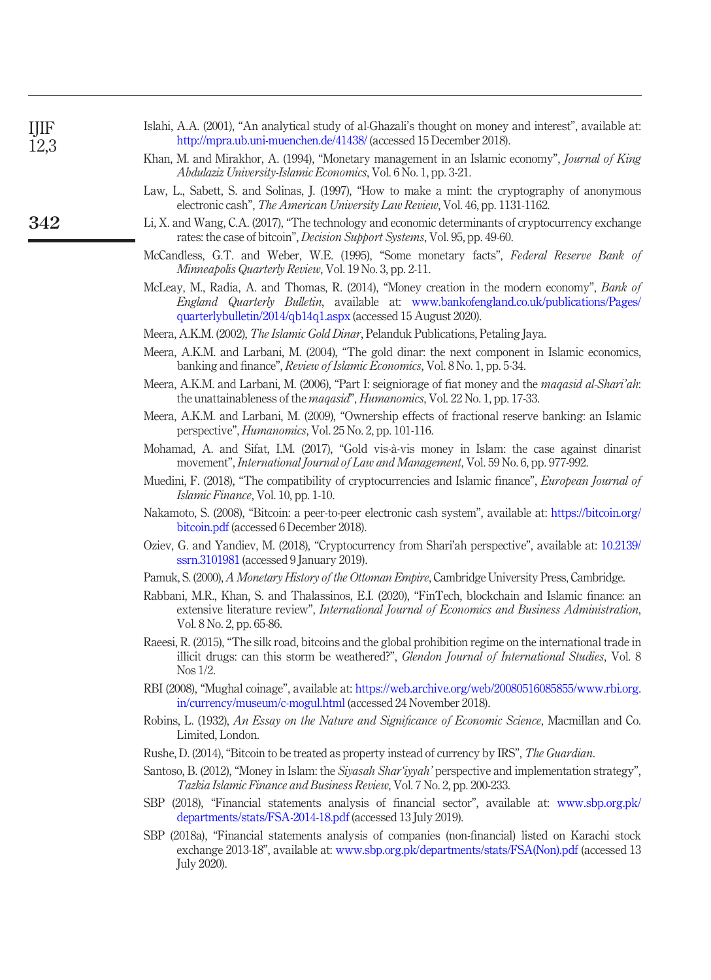| IJIF<br>12,3 | Islahi, A.A. (2001), "An analytical study of al-Ghazali's thought on money and interest", available at:<br>http://mpra.ub.uni-muenchen.de/41438/ (accessed 15 December 2018).                                                                          |
|--------------|--------------------------------------------------------------------------------------------------------------------------------------------------------------------------------------------------------------------------------------------------------|
|              | Khan, M. and Mirakhor, A. (1994), "Monetary management in an Islamic economy", Journal of King<br>Abdulaziz University-Islamic Economics, Vol. 6 No. 1, pp. 3-21.                                                                                      |
|              | Law, L., Sabett, S. and Solinas, J. (1997), "How to make a mint: the cryptography of anonymous<br>electronic cash", The American University Law Review, Vol. 46, pp. 1131-1162.                                                                        |
| 342          | Li, X. and Wang, C.A. (2017), "The technology and economic determinants of cryptocurrency exchange<br>rates: the case of bitcoin", Decision Support Systems, Vol. 95, pp. 49-60.                                                                       |
|              | McCandless, G.T. and Weber, W.E. (1995), "Some monetary facts", Federal Reserve Bank of<br>Minneapolis Quarterly Review, Vol. 19 No. 3, pp. 2-11.                                                                                                      |
|              | McLeay, M., Radia, A. and Thomas, R. (2014), "Money creation in the modern economy", Bank of<br>England Quarterly Bulletin, available at: www.bankofengland.co.uk/publications/Pages/<br>quarterlybulletin/2014/qb14q1.aspx (accessed 15 August 2020). |
|              | Meera, A.K.M. (2002), <i>The Islamic Gold Dinar</i> , Pelanduk Publications, Petaling Jaya.                                                                                                                                                            |
|              | Meera, A.K.M. and Larbani, M. (2004), "The gold dinar: the next component in Islamic economics,<br>banking and finance", Review of Islamic Economics, Vol. 8 No. 1, pp. 5-34.                                                                          |
|              | Meera, A.K.M. and Larbani, M. (2006), "Part I: seigniorage of fiat money and the <i>maqasid al-Shari'ah</i> :<br>the unattainableness of the <i>magasid</i> ", <i>Humanomics</i> , Vol. 22 No. 1, pp. 17-33.                                           |
|              | Meera, A.K.M. and Larbani, M. (2009), "Ownership effects of fractional reserve banking: an Islamic<br>perspective", <i>Humanomics</i> , Vol. 25 No. 2, pp. 101-116.                                                                                    |
|              | Mohamad, A. and Sifat, I.M. (2017), "Gold vis-à-vis money in Islam: the case against dinarist<br>movement", International Journal of Law and Management, Vol. 59 No. 6, pp. 977-992.                                                                   |
|              | Muedini, F. (2018), "The compatibility of cryptocurrencies and Islamic finance", European Journal of<br><i>Islamic Finance</i> , Vol. 10, pp. 1-10.                                                                                                    |
|              | Nakamoto, S. (2008), "Bitcoin: a peer-to-peer electronic cash system", available at: https://bitcoin.org/<br>bitcoin.pdf (accessed 6 December 2018).                                                                                                   |
|              | Oziev, G. and Yandiev, M. (2018), "Cryptocurrency from Shari'ah perspective", available at: 10.2139/<br>ssrn.3101981 (accessed 9 January 2019).                                                                                                        |
|              | Pamuk, S. (2000), A Monetary History of the Ottoman Empire, Cambridge University Press, Cambridge.                                                                                                                                                     |
|              | Rabbani, M.R., Khan, S. and Thalassinos, E.I. (2020), "FinTech, blockchain and Islamic finance: an<br>extensive literature review", International Journal of Economics and Business Administration,<br>Vol. 8 No. 2, pp. 65-86.                        |
|              | Raeesi, R. (2015), "The silk road, bitcoins and the global prohibition regime on the international trade in<br>illicit drugs: can this storm be weathered?", Glendon Journal of International Studies, Vol. 8<br>Nos 1/2.                              |
|              | RBI (2008), "Mughal coinage", available at: https://web.archive.org/web/20080516085855/www.rbi.org.<br>in/currency/museum/c-mogul.html (accessed 24 November 2018).                                                                                    |
|              | Robins, L. (1932), An Essay on the Nature and Significance of Economic Science, Macmillan and Co.<br>Limited, London.                                                                                                                                  |
|              | Rushe, D. (2014), "Bitcoin to be treated as property instead of currency by IRS", The Guardian.                                                                                                                                                        |
|              | Santoso, B. (2012), "Money in Islam: the Siyasah Shar'iyyah' perspective and implementation strategy",<br>Tazkia Islamic Finance and Business Review, Vol. 7 No. 2, pp. 200-233.                                                                       |
|              | SBP (2018), "Financial statements analysis of financial sector", available at: www.sbp.org.pk/<br>departments/stats/FSA-2014-18.pdf (accessed 13 July 2019).                                                                                           |
|              | SBP (2018a), "Financial statements analysis of companies (non-financial) listed on Karachi stock<br>exchange 2013-18", available at: www.sbp.org.pk/departments/stats/FSA(Non).pdf (accessed 13<br>July 2020).                                         |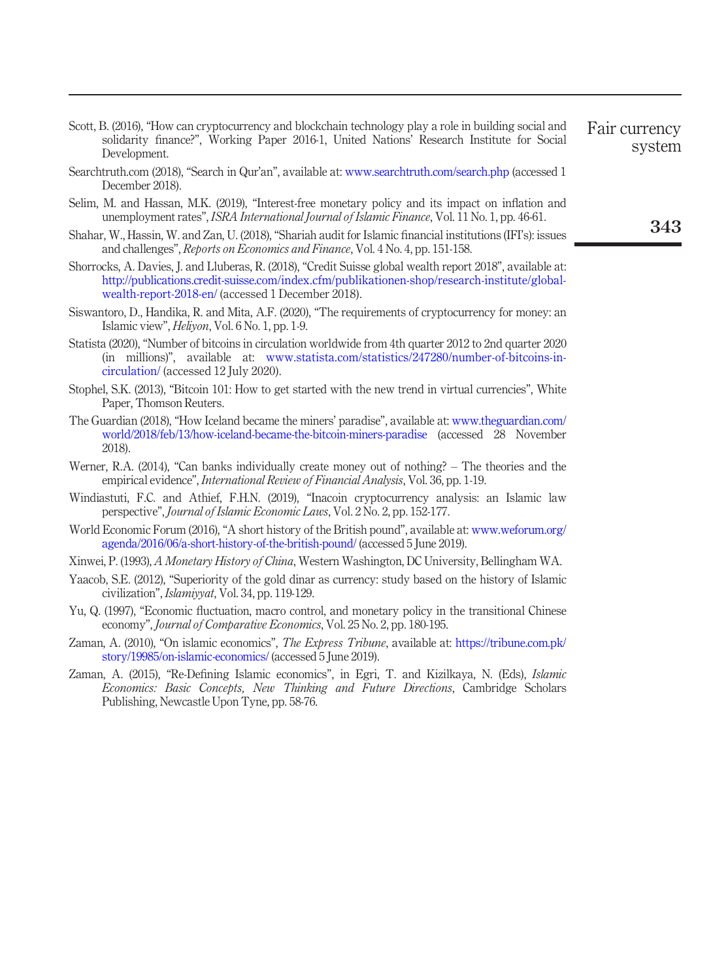Scott, B. (2016), "How can cryptocurrency and blockchain technology play a role in building social and solidarity finance?", Working Paper 2016-1, United Nations' Research Institute for Social Development. Fair currency system

- Searchtruth.com (2018), "Search in Qur'an", available at: www.searchtruth.com/search.php (accessed 1 December 2018).
- Selim, M. and Hassan, M.K. (2019), "Interest-free monetary policy and its impact on inflation and unemployment rates", *ISRA International Journal of Islamic Finance*, Vol. 11 No. 1, pp. 46-61.
- Shahar, W., Hassin, W. and Zan, U. (2018), "Shariah audit for Islamic financial institutions (IFI's): issues and challenges", Reports on Economics and Finance, Vol. 4 No. 4, pp. 151-158.
- Shorrocks, A. Davies, J. and Lluberas, R. (2018), "Credit Suisse global wealth report 2018", available at: http://publications.credit-suisse.com/index.cfm/publikationen-shop/research-institute/globalwealth-report-2018-en/ (accessed 1 December 2018).
- Siswantoro, D., Handika, R. and Mita, A.F. (2020), "The requirements of cryptocurrency for money: an Islamic view", Heliyon, Vol. 6 No. 1, pp. 1-9.
- Statista (2020), "Number of bitcoins in circulation worldwide from 4th quarter 2012 to 2nd quarter 2020 (in millions)", available at: www.statista.com/statistics/247280/number-of-bitcoins-incirculation/ (accessed 12 July 2020).
- Stophel, S.K. (2013), "Bitcoin 101: How to get started with the new trend in virtual currencies", White Paper, Thomson Reuters.
- The Guardian (2018), "How Iceland became the miners' paradise", available at: www.theguardian.com/ world/2018/feb/13/how-iceland-became-the-bitcoin-miners-paradise (accessed 28 November 2018).
- Werner, R.A. (2014), "Can banks individually create money out of nothing? The theories and the empirical evidence", International Review of Financial Analysis, Vol. 36, pp. 1-19.
- Windiastuti, F.C. and Athief, F.H.N. (2019), "Inacoin cryptocurrency analysis: an Islamic law perspective", Journal of Islamic Economic Laws, Vol. 2 No. 2, pp. 152-177.
- World Economic Forum (2016), "A short history of the British pound", available at: www.weforum.org/ agenda/2016/06/a-short-history-of-the-british-pound/ (accessed 5 June 2019).
- Xinwei, P. (1993), A Monetary History of China, Western Washington, DC University, Bellingham WA.
- Yaacob, S.E. (2012), "Superiority of the gold dinar as currency: study based on the history of Islamic civilization", Islamiyyat, Vol. 34, pp. 119-129.
- Yu, Q. (1997), "Economic fluctuation, macro control, and monetary policy in the transitional Chinese economy", Journal of Comparative Economics, Vol. 25 No. 2, pp. 180-195.
- Zaman, A. (2010), "On islamic economics", *The Express Tribune*, available at: https://tribune.com.pk/ story/19985/on-islamic-economics/ (accessed 5 June 2019).
- Zaman, A. (2015), "Re-Defining Islamic economics", in Egri, T. and Kizilkaya, N. (Eds), Islamic Economics: Basic Concepts, New Thinking and Future Directions, Cambridge Scholars Publishing, Newcastle Upon Tyne, pp. 58-76.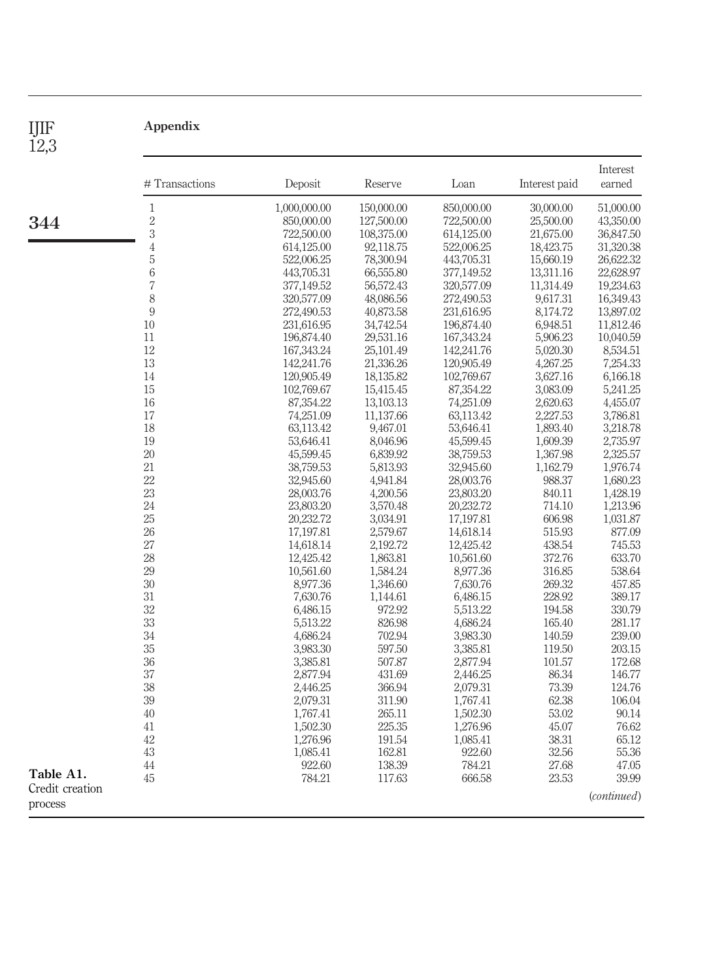12,3

Appendix

|                 |                |              |            |            |               | Interest    |
|-----------------|----------------|--------------|------------|------------|---------------|-------------|
|                 | #Transactions  | Deposit      | Reserve    | Loan       | Interest paid | earned      |
|                 | $\mathbf{1}$   | 1,000,000.00 | 150,000.00 | 850,000.00 | 30,000,00     | 51,000.00   |
| 344             | $\overline{2}$ | 850,000.00   | 127,500.00 | 722,500.00 | 25,500.00     | 43,350.00   |
|                 | 3              | 722,500.00   | 108,375.00 | 614,125.00 | 21,675.00     | 36,847.50   |
|                 | $\overline{4}$ | 614,125.00   | 92,118.75  | 522,006.25 | 18,423.75     | 31,320.38   |
|                 | 5              | 522,006.25   | 78,300.94  | 443,705.31 | 15,660.19     | 26,622.32   |
|                 | 6              | 443,705.31   | 66,555.80  | 377,149.52 | 13,311.16     | 22,628.97   |
|                 | 7              | 377,149.52   | 56,572.43  | 320,577.09 | 11,314.49     | 19,234.63   |
|                 | 8              | 320,577.09   | 48,086.56  | 272,490.53 | 9,617.31      | 16,349.43   |
|                 | 9              | 272,490.53   | 40,873.58  | 231,616.95 | 8,174.72      | 13,897.02   |
|                 | 10             | 231,616.95   | 34,742.54  | 196,874.40 | 6,948.51      | 11,812.46   |
|                 | 11             | 196,874.40   | 29,531.16  | 167,343.24 | 5,906.23      | 10,040.59   |
|                 | 12             | 167,343.24   | 25,101.49  | 142,241.76 | 5,020.30      | 8,534.51    |
|                 | 13             | 142,241.76   | 21,336.26  | 120,905.49 | 4,267.25      | 7,254.33    |
|                 | 14             | 120,905.49   | 18,135.82  | 102,769.67 | 3,627.16      | 6,166.18    |
|                 | 15             | 102,769.67   | 15,415.45  | 87,354.22  | 3,083.09      | 5,241.25    |
|                 | 16             | 87,354.22    | 13,103.13  | 74,251.09  | 2,620.63      | 4,455.07    |
|                 | 17             | 74,251.09    | 11,137.66  | 63,113.42  | 2,227.53      | 3,786.81    |
|                 | 18             | 63,113.42    | 9,467.01   | 53,646.41  | 1,893.40      | 3,218.78    |
|                 | 19             | 53,646.41    | 8,046.96   | 45,599.45  | 1,609.39      | 2,735.97    |
|                 | $20\,$         | 45,599.45    | 6,839.92   | 38,759.53  | 1,367.98      | 2,325.57    |
|                 | 21             | 38,759.53    | 5,813.93   | 32,945.60  | 1,162.79      | 1,976.74    |
|                 | 22             | 32,945.60    | 4,941.84   | 28,003.76  | 988.37        | 1,680.23    |
|                 | 23             | 28,003.76    | 4,200.56   | 23,803.20  | 840.11        | 1,428.19    |
|                 | 24             | 23,803.20    | 3,570.48   | 20,232.72  | 714.10        | 1,213.96    |
|                 | 25             | 20,232.72    | 3,034.91   | 17,197.81  | 606.98        | 1,031.87    |
|                 | 26             | 17,197.81    | 2,579.67   | 14,618.14  | 515.93        | 877.09      |
|                 | 27             | 14,618.14    | 2,192.72   | 12,425.42  | 438.54        | 745.53      |
|                 | 28             | 12,425.42    | 1,863.81   | 10,561.60  | 372.76        | 633.70      |
|                 | 29             | 10,561.60    | 1,584.24   | 8,977.36   | 316.85        | 538.64      |
|                 | 30             | 8,977.36     | 1,346.60   | 7,630.76   | 269.32        | 457.85      |
|                 | 31             | 7,630.76     | 1,144.61   | 6,486.15   | 228.92        | 389.17      |
|                 | 32             | 6,486.15     | 972.92     | 5,513.22   | 194.58        | 330.79      |
|                 | 33             | 5,513.22     | 826.98     | 4,686.24   | 165.40        | 281.17      |
|                 | 34             | 4,686.24     | 702.94     | 3,983.30   | 140.59        | 239.00      |
|                 | 35             | 3,983.30     | 597.50     | 3,385.81   | 119.50        | 203.15      |
|                 | 36             | 3,385.81     | 507.87     | 2,877.94   | 101.57        | 172.68      |
|                 | 37             | 2,877.94     | 431.69     | 2,446.25   | 86.34         | 146.77      |
|                 | 38             | 2,446.25     | 366.94     | 2,079.31   | 73.39         | 124.76      |
|                 | 39             | 2,079.31     | 311.90     | 1,767.41   | 62.38         | 106.04      |
|                 | 40             | 1,767.41     | 265.11     | 1,502.30   | 53.02         | 90.14       |
|                 | 41             | 1,502.30     | 225.35     | 1,276.96   | 45.07         | 76.62       |
|                 | 42             | 1,276.96     | 191.54     | 1,085.41   | 38.31         | 65.12       |
|                 | 43             | 1,085.41     | 162.81     | 922.60     | 32.56         | 55.36       |
|                 | 44             | 922.60       | 138.39     | 784.21     | 27.68         | 47.05       |
| Table A1.       | 45             | 784.21       | 117.63     | 666.58     | 23.53         | 39.99       |
| Credit creation |                |              |            |            |               | (continued) |
| process         |                |              |            |            |               |             |
|                 |                |              |            |            |               |             |